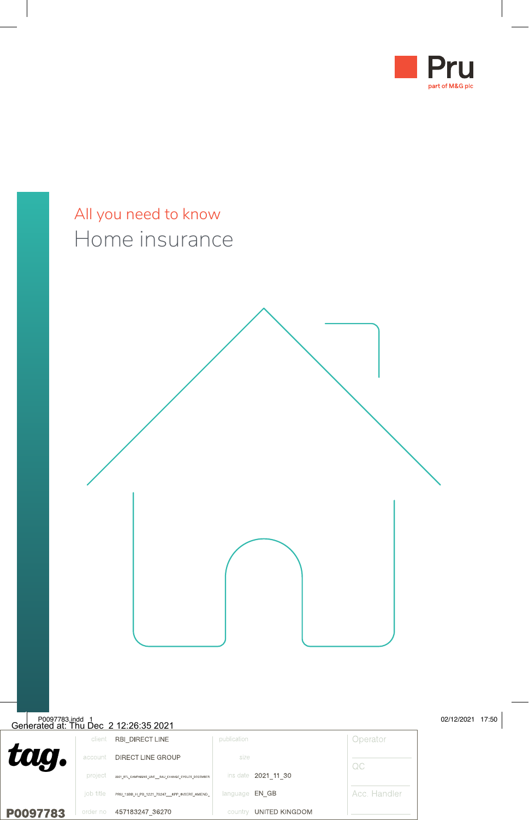

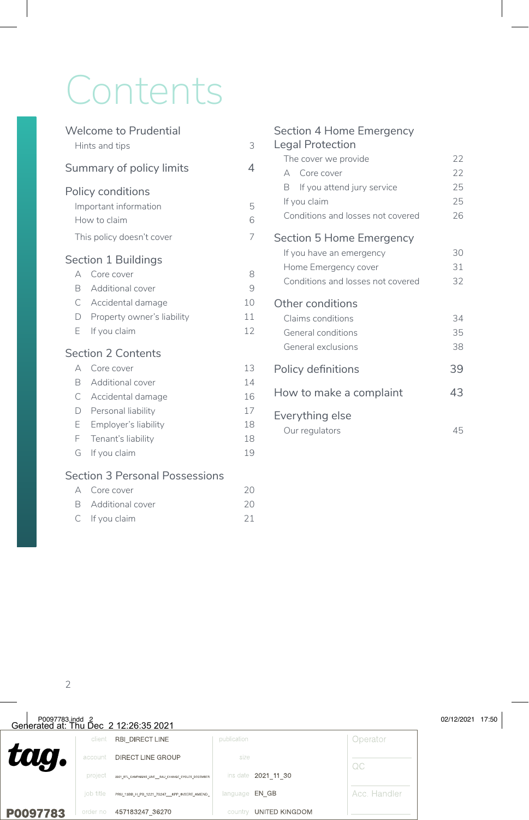# Contents

|              | <b>Welcome to Prudential</b>          |    |
|--------------|---------------------------------------|----|
|              | Hints and tips                        | 3  |
|              | Summary of policy limits              | 4  |
|              | Policy conditions                     |    |
|              | Important information                 | 5  |
| How to claim |                                       | 6  |
|              | This policy doesn't cover             | 7  |
|              | Section 1 Buildings                   |    |
| А            | Core cover                            | 8  |
| R            | Additional cover                      | 9  |
| C            | Accidental damage                     | 10 |
| D            | Property owner's liability            | 11 |
| E            | If you claim                          | 12 |
|              | Section 2 Contents                    |    |
| А            | Core cover                            | 13 |
| B            | Additional cover                      | 14 |
| C            | Accidental damage                     | 16 |
| D            | Personal liability                    | 17 |
| E            | Employer's liability                  | 18 |
| F            | Tenant's liability                    | 18 |
| G            | If you claim                          | 19 |
|              | <b>Section 3 Personal Possessions</b> |    |
|              | A Coro covor                          | つの |

| A Core cover       | 20 |
|--------------------|----|
| B Additional cover | 20 |
| $C$ If you claim   | 21 |

| Section 4 Home Emergency          |    |
|-----------------------------------|----|
| Legal Protection                  |    |
| The cover we provide              | 22 |
| A Core cover                      | 22 |
| B.<br>If you attend jury service  | 25 |
| If you claim                      | 25 |
| Conditions and losses not covered | 26 |
| Section 5 Home Emergency          |    |
| If you have an emergency          | 30 |
| Home Emergency cover              | 31 |
| Conditions and losses not covered | 32 |
| Other conditions                  |    |
| Claims conditions                 | 34 |
| General conditions                | 35 |
| General exclusions                | 38 |
| Policy definitions                | 39 |
| How to make a complaint           |    |
| Everything else                   |    |
| Our regulators                    | 45 |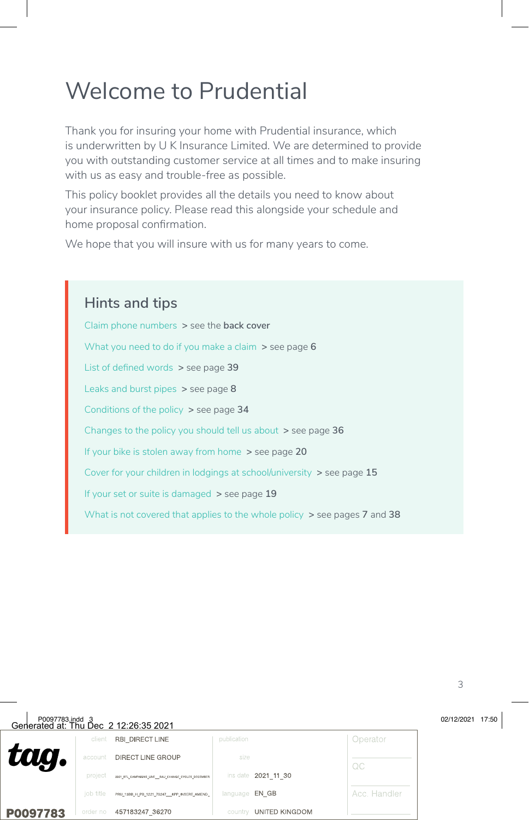# Welcome to Prudential

Thank you for insuring your home with Prudential insurance, which is underwritten by U K Insurance Limited. We are determined to provide you with outstanding customer service at all times and to make insuring with us as easy and trouble-free as possible.

This policy booklet provides all the details you need to know about your insurance policy. Please read this alongside your schedule and home proposal confirmation.

We hope that you will insure with us for many years to come.

### **Hints and tips**

Claim phone numbers **>** see the **back cover** What you need to do if you make a claim **>** see page **6** List of defined words **>** see page **39** Leaks and burst pipes **>** see page **8** Conditions of the policy **>** see page **34** Changes to the policy you should tell us about **>** see page **36** If your bike is stolen away from home **>** see page **20** Cover for your children in lodgings at school/university **>** see page **15** If your set or suite is damaged **>** see page **19** What is not covered that applies to the whole policy **>** see pages **7** and **38**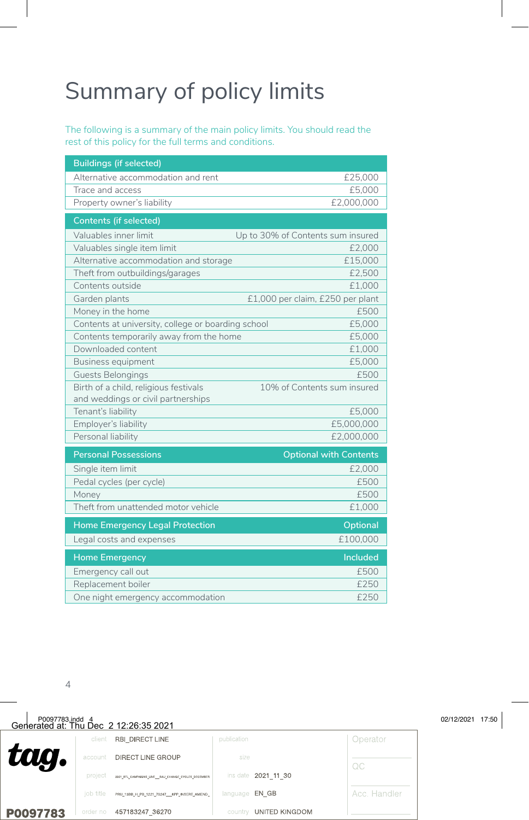# Summary of policy limits

The following is a summary of the main policy limits. You should read the rest of this policy for the full terms and conditions.

| <b>Buildings (if selected)</b>                                              |                                   |
|-----------------------------------------------------------------------------|-----------------------------------|
| Alternative accommodation and rent                                          | £25,000                           |
| Trace and access                                                            | £5,000                            |
| Property owner's liability                                                  | £2,000,000                        |
| <b>Contents (if selected)</b>                                               |                                   |
| Valuables inner limit                                                       | Up to 30% of Contents sum insured |
| Valuables single item limit                                                 | £2,000                            |
| Alternative accommodation and storage                                       | £15,000                           |
| Theft from outbuildings/garages                                             | £2,500                            |
| Contents outside                                                            | £1,000                            |
| Garden plants                                                               | £1,000 per claim, £250 per plant  |
| Money in the home                                                           | £500                              |
| Contents at university, college or boarding school                          | £5,000                            |
| Contents temporarily away from the home                                     | £5,000                            |
| Downloaded content                                                          | £1,000                            |
| Business equipment                                                          | £5.000                            |
| <b>Guests Belongings</b>                                                    | £500                              |
| Birth of a child, religious festivals<br>and weddings or civil partnerships | 10% of Contents sum insured       |
| Tenant's liability                                                          | £5,000                            |
| Employer's liability                                                        | £5,000,000                        |
| Personal liability                                                          | £2,000,000                        |
| <b>Personal Possessions</b>                                                 | <b>Optional with Contents</b>     |
| Single item limit                                                           | £2,000                            |
| Pedal cycles (per cycle)                                                    | £500                              |
| Money                                                                       | £500                              |
| Theft from unattended motor vehicle                                         | £1,000                            |
| <b>Home Emergency Legal Protection</b>                                      | Optional                          |
| Legal costs and expenses                                                    | £100.000                          |
| <b>Home Emergency</b>                                                       | <b>Included</b>                   |
| Emergency call out                                                          | £500                              |
| Replacement boiler                                                          | £250                              |
| One night emergency accommodation                                           | £250                              |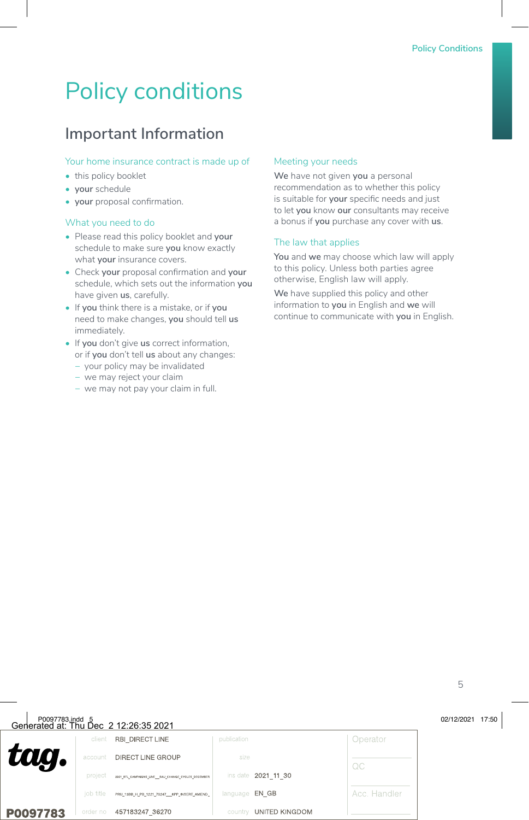# Policy conditions

## **Important Information**

#### Your home insurance contract is made up of

- this policy booklet
- **• your** schedule
- **• your** proposal confirmation.

#### What you need to do

- Please read this policy booklet and **your** schedule to make sure **you** know exactly what **your** insurance covers.
- Check **your** proposal confirmation and **your** schedule, which sets out the information **you** have given **us**, carefully.
- If **you** think there is a mistake, or if **you** need to make changes, **you** should tell **us** immediately.
- If **you** don't give **us** correct information, or if **you** don't tell **us** about any changes:
	- − your policy may be invalidated
	- − we may reject your claim
	- − we may not pay your claim in full.

#### Meeting your needs

**We** have not given **you** a personal recommendation as to whether this policy is suitable for **your** specific needs and just to let **you** know **our** consultants may receive a bonus if **you** purchase any cover with **us**.

#### The law that applies

**You** and **we** may choose which law will apply to this policy. Unless both parties agree otherwise, English law will apply.

**We** have supplied this policy and other information to **you** in English and **we** will continue to communicate with **you** in English.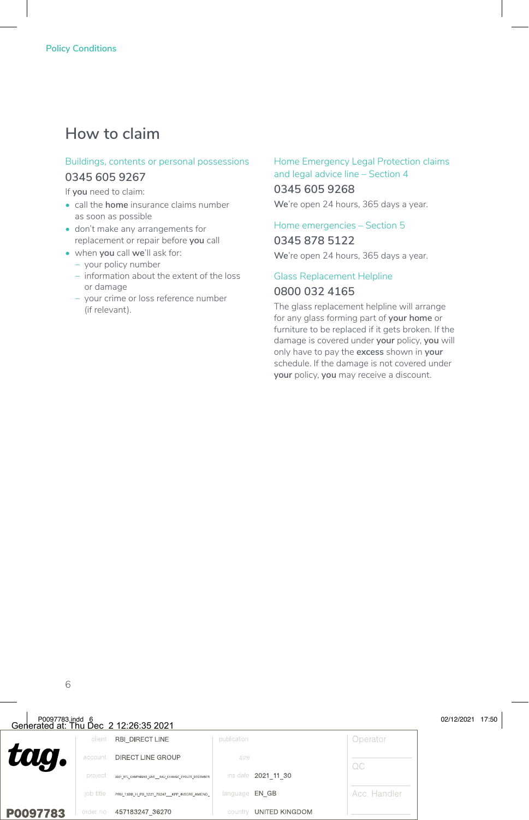### **How to claim**

#### Buildings, contents or personal possessions **0345 605 9267**

If **you** need to claim:

- call the **home** insurance claims number as soon as possible
- don't make any arrangements for replacement or repair before **you** call
- when **you** call **we**'ll ask for:
	- − your policy number
	- − information about the extent of the loss or damage
	- − your crime or loss reference number (if relevant).

#### Home Emergency Legal Protection claims and legal advice line – Section 4

#### **0345 605 9268**

**We**'re open 24 hours, 365 days a year.

### Home emergencies – Section 5

**0345 878 5122**

**We**'re open 24 hours, 365 days a year.

#### Glass Replacement Helpline **0800 032 4165**

The glass replacement helpline will arrange for any glass forming part of **your home** or furniture to be replaced if it gets broken. If the damage is covered under **your** policy, **you** will only have to pay the **excess** shown in **your** schedule. If the damage is not covered under **your** policy, **you** may receive a discount.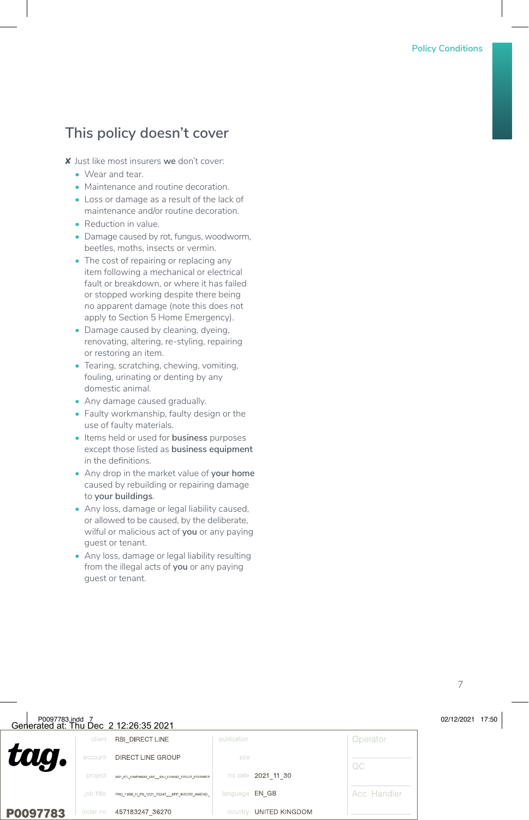### **This policy doesn't cover**

- ✘ Just like most insurers **we** don't cover:
	- Wear and tear.
	- Maintenance and routine decoration.
	- Loss or damage as a result of the lack of maintenance and/or routine decoration.
	- Reduction in value.
	- Damage caused by rot, fungus, woodworm, beetles, moths, insects or vermin.
	- The cost of repairing or replacing any item following a mechanical or electrical fault or breakdown, or where it has failed or stopped working despite there being no apparent damage (note this does not apply to Section 5 Home Emergency).
	- Damage caused by cleaning, dyeing, renovating, altering, re-styling, repairing or restoring an item.
	- Tearing, scratching, chewing, vomiting, fouling, urinating or denting by any domestic animal.
	- Any damage caused gradually.
	- Faulty workmanship, faulty design or the use of faulty materials.
	- Items held or used for **business** purposes except those listed as **business equipment** in the definitions.
	- Any drop in the market value of **your home** caused by rebuilding or repairing damage to **your buildings**.
	- Any loss, damage or legal liability caused, or allowed to be caused, by the deliberate, wilful or malicious act of **you** or any paying guest or tenant.
	- Any loss, damage or legal liability resulting from the illegal acts of **you** or any paying guest or tenant.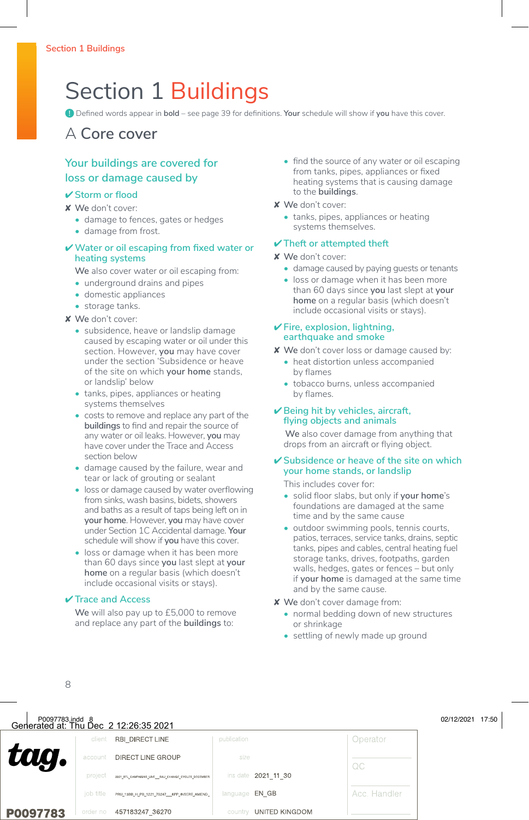# Section 1 Buildings

**!** Defined words appear in **bold** – see page 39 for definitions. **Your** schedule will show if **you** have this cover.

### A **Core cover**

### **Your buildings are covered for loss or damage caused by**

#### ✔ **Storm or flood**

✘ **We** don't cover:

- damage to fences, gates or hedges
- damage from frost.

#### ✔**Water or oil escaping from fixed water or heating systems**

**We** also cover water or oil escaping from:

- underground drains and pipes
- domestic appliances
- storage tanks.
- ✘ **We** don't cover:
	- subsidence, heave or landslip damage caused by escaping water or oil under this section. However, **you** may have cover under the section 'Subsidence or heave of the site on which **your home** stands, or landslip' below
	- tanks, pipes, appliances or heating systems themselves
	- costs to remove and replace any part of the **buildings** to find and repair the source of any water or oil leaks. However, **you** may have cover under the Trace and Access section below
	- damage caused by the failure, wear and tear or lack of grouting or sealant
	- loss or damage caused by water overflowing from sinks, wash basins, bidets, showers and baths as a result of taps being left on in **your home**. However, **you** may have cover under Section 1C Accidental damage. **Your** schedule will show if **you** have this cover.
	- loss or damage when it has been more than 60 days since **you** last slept at **your home** on a regular basis (which doesn't include occasional visits or stays).

#### ✔ **Trace and Access**

**We** will also pay up to £5,000 to remove and replace any part of the **buildings** to:

- find the source of any water or oil escaping from tanks, pipes, appliances or fixed heating systems that is causing damage to the **buildings**.
- ✘ **We** don't cover:
	- tanks, pipes, appliances or heating systems themselves.

#### ✔ **Theft or attempted theft**

✘ **We** don't cover:

- damage caused by paying guests or tenants
- loss or damage when it has been more than 60 days since **you** last slept at **your home** on a regular basis (which doesn't include occasional visits or stays).

#### ✔ **Fire, explosion, lightning, earthquake and smoke**

- ✘ **We** don't cover loss or damage caused by:
	- heat distortion unless accompanied by flames
	- tobacco burns, unless accompanied by flames.

#### ✔ **Being hit by vehicles, aircraft, flying objects and animals**

**We** also cover damage from anything that drops from an aircraft or flying object.

#### ✔ **Subsidence or heave of the site on which your home stands, or landslip**

This includes cover for:

- solid floor slabs, but only if **your home**'s foundations are damaged at the same time and by the same cause
- outdoor swimming pools, tennis courts, patios, terraces, service tanks, drains, septic tanks, pipes and cables, central heating fuel storage tanks, drives, footpaths, garden walls, hedges, gates or fences – but only if **your home** is damaged at the same time and by the same cause.
- ✘ **We** don't cover damage from:
	- normal bedding down of new structures or shrinkage
	- settling of newly made up ground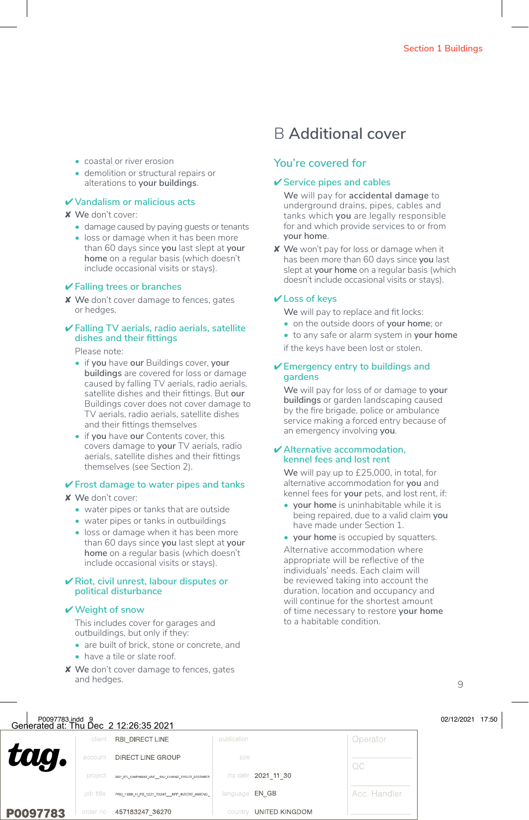- coastal or river erosion
- demolition or structural repairs or alterations to **your buildings**.

#### ✔ **Vandalism or malicious acts**

#### ✘ **We** don't cover:

- damage caused by paying guests or tenants
- loss or damage when it has been more than 60 days since **you** last slept at **your home** on a regular basis (which doesn't include occasional visits or stays).

#### ✔ **Falling trees or branches**

✘ **We** don't cover damage to fences, gates or hedges.

#### ✔ **Falling TV aerials, radio aerials, satellite dishes and their fittings**

Please note:

- if **you** have **our** Buildings cover, **your buildings** are covered for loss or damage caused by falling TV aerials, radio aerials, satellite dishes and their fittings. But **our** Buildings cover does not cover damage to TV aerials, radio aerials, satellite dishes and their fittings themselves
- if **you** have **our** Contents cover, this covers damage to **your** TV aerials, radio aerials, satellite dishes and their fittings themselves (see Section 2).

#### ✔ **Frost damage to water pipes and tanks**

- ✘ **We** don't cover:
	- water pipes or tanks that are outside
	- water pipes or tanks in outbuildings
	- loss or damage when it has been more than 60 days since **you** last slept at **your home** on a regular basis (which doesn't include occasional visits or stays).

#### ✔ **Riot, civil unrest, labour disputes or political disturbance**

#### ✔**Weight of snow**

This includes cover for garages and outbuildings, but only if they:

- are built of brick, stone or concrete, and
- have a tile or slate roof.

#### ✘ **We** don't cover damage to fences, gates and hedges.

### B **Additional cover**

#### **You're covered for**

#### ✔ **Service pipes and cables**

**We** will pay for **accidental damage** to underground drains, pipes, cables and tanks which **you** are legally responsible for and which provide services to or from **your home**.

✘ **We** won't pay for loss or damage when it has been more than 60 days since **you** last slept at **your home** on a regular basis (which doesn't include occasional visits or stays).

#### ✔ **Loss of keys**

**We** will pay to replace and fit locks:

- on the outside doors of **your home**; or
- to any safe or alarm system in **your home**

if the keys have been lost or stolen.

#### ✔ **Emergency entry to buildings and gardens**

**We** will pay for loss of or damage to **your buildings** or garden landscaping caused by the fire brigade, police or ambulance service making a forced entry because of an emergency involving **you**.

#### ✔ **Alternative accommodation, kennel fees and lost rent**

**We** will pay up to £25,000, in total, for alternative accommodation for **you** and kennel fees for **your** pets, and lost rent, if:

- **• your home** is uninhabitable while it is being repaired, due to a valid claim **you** have made under Section 1.
- **• your home** is occupied by squatters.

Alternative accommodation where appropriate will be reflective of the individuals' needs. Each claim will be reviewed taking into account the duration, location and occupancy and will continue for the shortest amount of time necessary to restore **your home** to a habitable condition.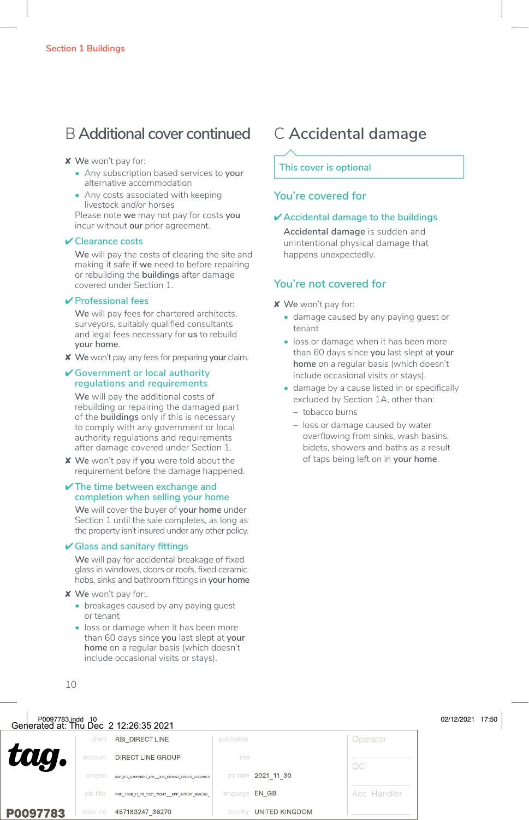### B **Additional cover continued** C **Accidental damage**

#### ✘ **We** won't pay for:

- Any subscription based services to **your** alternative accommodation
- Any costs associated with keeping livestock and/or horses

Please note **we** may not pay for costs **you** incur without **our** prior agreement.

#### ✔ **Clearance costs**

**We** will pay the costs of clearing the site and making it safe if **we** need to before repairing or rebuilding the **buildings** after damage covered under Section 1.

#### ✔ **Professional fees**

**We** will pay fees for chartered architects, surveyors, suitably qualified consultants and legal fees necessary for **us** to rebuild **your home**.

✘ **We** won't pay any fees for preparing **your** claim.

#### ✔ **Government or local authority regulations and requirements**

**We** will pay the additional costs of rebuilding or repairing the damaged part of the **buildings** only if this is necessary to comply with any government or local authority regulations and requirements after damage covered under Section 1.

✘ **We** won't pay if **you** were told about the requirement before the damage happened.

#### ✔ **The time between exchange and completion when selling your home**

**We** will cover the buyer of **your home** under Section 1 until the sale completes, as long as the property isn't insured under any other policy.

#### ✔ **Glass and sanitary fittings**

**We** will pay for accidental breakage of fixed glass in windows, doors or roofs, fixed ceramic hobs, sinks and bathroom fittings in **your home**

✘ **We** won't pay for:.

- breakages caused by any paying guest or tenant
- loss or damage when it has been more than 60 days since **you** last slept at **your home** on a regular basis (which doesn't include occasional visits or stays).

#### **This cover is optional**

#### **You're covered for**

#### ✔ **Accidental damage to the buildings**

**Accidental damage** is sudden and unintentional physical damage that happens unexpectedly.

- ✘ **We** won't pay for:
	- damage caused by any paying guest or tenant
	- loss or damage when it has been more than 60 days since **you** last slept at **your home** on a regular basis (which doesn't include occasional visits or stays).
	- damage by a cause listed in or specifically excluded by Section 1A, other than:
		- tobacco burns
		- loss or damage caused by water overflowing from sinks, wash basins bidets, showers and baths as a result of taps being left on in **your home**.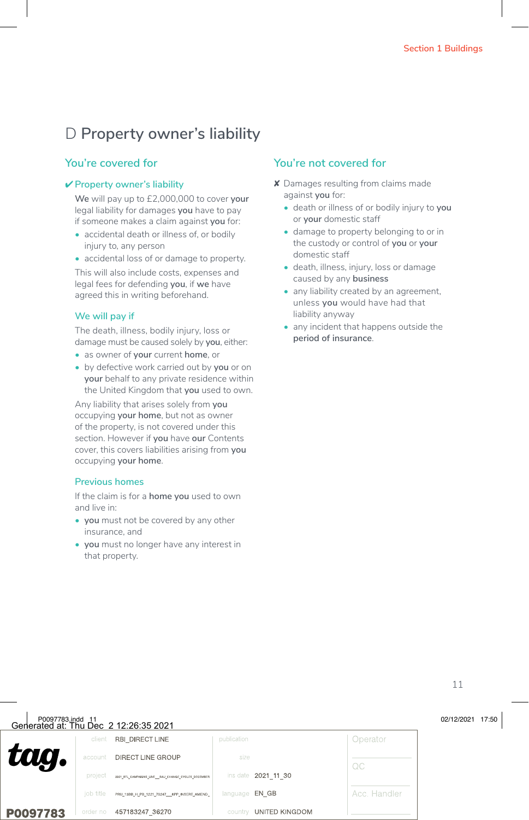## D **Property owner's liability**

#### **You're covered for**

#### ✔ **Property owner's liability**

**We** will pay up to £2,000,000 to cover **your** legal liability for damages **you** have to pay if someone makes a claim against **you** for:

- accidental death or illness of, or bodily injury to, any person
- accidental loss of or damage to property.

This will also include costs, expenses and legal fees for defending **you**, if **we** have agreed this in writing beforehand.

#### **We will pay if**

The death, illness, bodily injury, loss or damage must be caused solely by **you**, either:

- as owner of **your** current **home**, or
- by defective work carried out by **you** or on **your** behalf to any private residence within the United Kingdom that **you** used to own.

Any liability that arises solely from **you** occupying **your home**, but not as owner of the property, is not covered under this section. However if **you** have **our** Contents cover, this covers liabilities arising from **you** occupying **your home**.

#### **Previous homes**

If the claim is for a **home you** used to own and live in:

- **• you** must not be covered by any other insurance, and
- **• you** must no longer have any interest in that property.

- ✘ Damages resulting from claims made against **you** for:
	- death or illness of or bodily injury to **you** or **your** domestic staff
	- damage to property belonging to or in the custody or control of **you** or **your** domestic staff
	- death, illness, injury, loss or damage caused by any **business**
	- any liability created by an agreement. unless **you** would have had that liability anyway
	- any incident that happens outside the **period of insurance**.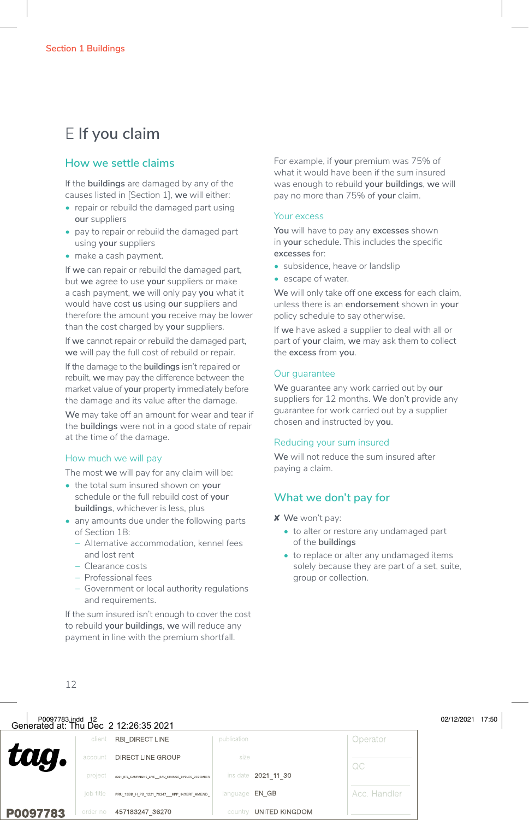## E **If you claim**

#### **How we settle claims**

If the **buildings** are damaged by any of the causes listed in [Section 1], **we** will either:

- repair or rebuild the damaged part using **our** suppliers
- pay to repair or rebuild the damaged part using **your** suppliers
- make a cash payment.

If **we** can repair or rebuild the damaged part, but **we** agree to use **your** suppliers or make a cash payment, **we** will only pay **you** what it would have cost **us** using **our** suppliers and therefore the amount **you** receive may be lower than the cost charged by **your** suppliers.

If **we** cannot repair or rebuild the damaged part, **we** will pay the full cost of rebuild or repair.

If the damage to the **buildings** isn't repaired or rebuilt, **we** may pay the difference between the market value of **your** property immediately before the damage and its value after the damage.

**We** may take off an amount for wear and tear if the **buildings** were not in a good state of repair at the time of the damage.

#### How much we will pay

The most **we** will pay for any claim will be:

- the total sum insured shown on **your** schedule or the full rebuild cost of **your buildings**, whichever is less, plus
- any amounts due under the following parts of Section 1B:
	- − Alternative accommodation, kennel fees and lost rent
	- − Clearance costs
	- − Professional fees
	- − Government or local authority regulations and requirements.

If the sum insured isn't enough to cover the cost to rebuild **your buildings**, **we** will reduce any payment in line with the premium shortfall.

For example, if **your** premium was 75% of what it would have been if the sum insured was enough to rebuild **your buildings**, **we** will pay no more than 75% of **your** claim.

#### Your excess

**You** will have to pay any **excesses** shown in **your** schedule. This includes the specific **excesses** for:

- subsidence, heave or landslip
- escape of water.

**We** will only take off one **excess** for each claim, unless there is an **endorsement** shown in **your** policy schedule to say otherwise.

If **we** have asked a supplier to deal with all or part of **your** claim, **we** may ask them to collect the **excess** from **you**.

#### Our guarantee

**We** guarantee any work carried out by **our** suppliers for 12 months. **We** don't provide any guarantee for work carried out by a supplier chosen and instructed by **you**.

#### Reducing your sum insured

**We** will not reduce the sum insured after paying a claim.

#### **What we don't pay for**

- ✘ **We** won't pay:
	- to alter or restore any undamaged part of the **buildings**
	- to replace or alter any undamaged items solely because they are part of a set, suite, group or collection.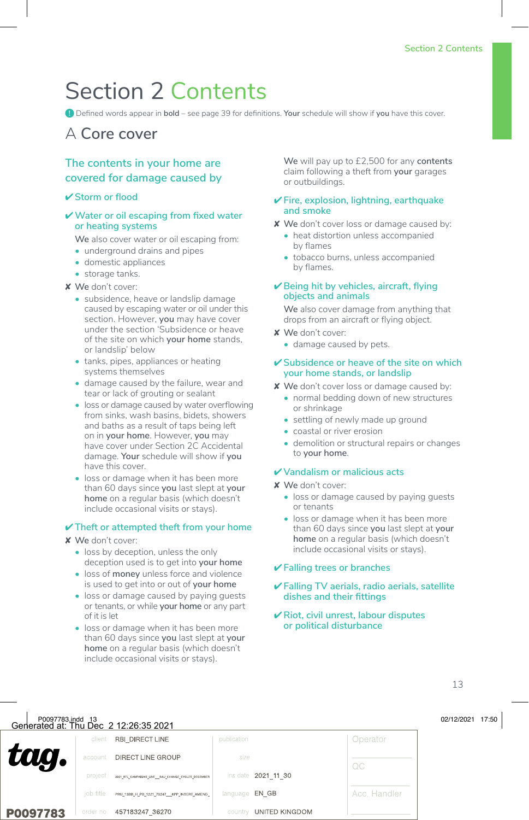# Section 2 Contents

**!** Defined words appear in **bold** – see page 39 for definitions. **Your** schedule will show if **you** have this cover.

### A **Core cover**

#### **The contents in your home are covered for damage caused by**

#### ✔ **Storm or flood**

#### ✔**Water or oil escaping from fixed water or heating systems**

**We** also cover water or oil escaping from:

- underground drains and pipes
- domestic appliances
- storage tanks.

#### ✘ **We** don't cover:

- subsidence, heave or landslip damage caused by escaping water or oil under this section. However, **you** may have cover under the section 'Subsidence or heave of the site on which **your home** stands, or landslip' below
- tanks, pipes, appliances or heating systems themselves
- damage caused by the failure, wear and tear or lack of grouting or sealant
- loss or damage caused by water overflowing from sinks, wash basins, bidets, showers and baths as a result of taps being left on in **your home**. However, **you** may have cover under Section 2C Accidental damage. **Your** schedule will show if **you** have this cover.
- loss or damage when it has been more than 60 days since **you** last slept at **your home** on a regular basis (which doesn't include occasional visits or stays).

#### ✔ **Theft or attempted theft from your home**

#### ✘ **We** don't cover:

- loss by deception, unless the only deception used is to get into **your home**
- loss of **money** unless force and violence is used to get into or out of **your home**
- loss or damage caused by paying guests or tenants, or while **your home** or any part of it is let
- loss or damage when it has been more than 60 days since **you** last slept at **your home** on a regular basis (which doesn't include occasional visits or stays).

**We** will pay up to £2,500 for any **contents** claim following a theft from **your** garages or outbuildings.

#### ✔ **Fire, explosion, lightning, earthquake and smoke**

✘ **We** don't cover loss or damage caused by:

- heat distortion unless accompanied by flames
- tobacco burns, unless accompanied by flames.

#### ✔ **Being hit by vehicles, aircraft, flying objects and animals**

**We** also cover damage from anything that drops from an aircraft or flying object.

- ✘ **We** don't cover:
	- damage caused by pets.

#### ✔ **Subsidence or heave of the site on which your home stands, or landslip**

- ✘ **We** don't cover loss or damage caused by:
	- normal bedding down of new structures or shrinkage
	- settling of newly made up ground
	- coastal or river erosion
	- demolition or structural repairs or changes to **your home**.

#### ✔ **Vandalism or malicious acts**

- ✘ **We** don't cover:
	- loss or damage caused by paying guests or tenants
	- loss or damage when it has been more than 60 days since **you** last slept at **your home** on a regular basis (which doesn't include occasional visits or stays).

#### ✔ **Falling trees or branches**

- ✔ **Falling TV aerials, radio aerials, satellite dishes and their fittings**
- ✔ **Riot, civil unrest, labour disputes or political disturbance**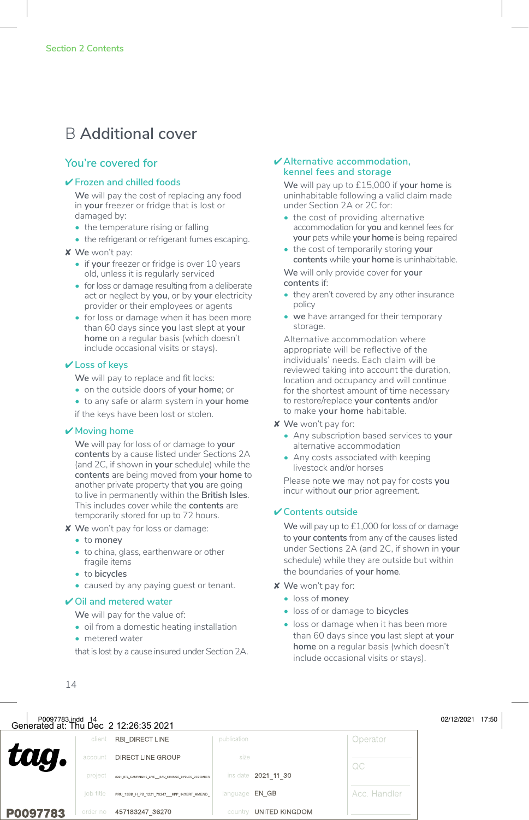### B **Additional cover**

#### **You're covered for**

#### ✔ **Frozen and chilled foods**

**We** will pay the cost of replacing any food in **your** freezer or fridge that is lost or damaged by:

- the temperature rising or falling
- the refrigerant or refrigerant fumes escaping.
- ✘ **We** won't pay:
	- if **your** freezer or fridge is over 10 years old, unless it is regularly serviced
	- for loss or damage resulting from a deliberate act or neglect by **you**, or by **your** electricity provider or their employees or agents
	- for loss or damage when it has been more than 60 days since **you** last slept at **your home** on a regular basis (which doesn't include occasional visits or stays).

#### ✔ **Loss of keys**

**We** will pay to replace and fit locks:

- on the outside doors of **your home**; or
- to any safe or alarm system in **your home**

if the keys have been lost or stolen.

#### ✔ **Moving home**

**We** will pay for loss of or damage to **your contents** by a cause listed under Sections 2A (and 2C, if shown in **your** schedule) while the **contents** are being moved from **your home** to another private property that **you** are going to live in permanently within the **British Isles**. This includes cover while the **contents** are temporarily stored for up to 72 hours.

- ✘ **We** won't pay for loss or damage:
	- to **money**
	- to china, glass, earthenware or other fragile items
	- to **bicycles**
	- caused by any paying guest or tenant.

#### ✔ **Oil and metered water**

**We** will pay for the value of:

- oil from a domestic heating installation
- metered water

that is lost by a cause insured under Section 2A.

#### ✔ **Alternative accommodation, kennel fees and storage**

**We** will pay up to £15,000 if **your home** is uninhabitable following a valid claim made under Section 2A or 2C for:

- the cost of providing alternative accommodation for **you** and kennel fees for **your** pets while **your home** is being repaired
- the cost of temporarily storing **your contents** while **your home** is uninhabitable.

**We** will only provide cover for **your contents** if:

- they aren't covered by any other insurance policy
- **• we** have arranged for their temporary storage

Alternative accommodation where appropriate will be reflective of the individuals' needs. Each claim will be reviewed taking into account the duration, location and occupancy and will continue for the shortest amount of time necessary to restore/replace **your contents** and/or to make **your home** habitable.

- ✘ **We** won't pay for:
	- Any subscription based services to **your** alternative accommodation
	- Any costs associated with keeping livestock and/or horses

Please note **we** may not pay for costs **you** incur without **our** prior agreement.

#### ✔ **Contents outside**

**We** will pay up to £1,000 for loss of or damage to **your contents** from any of the causes listed under Sections 2A (and 2C, if shown in **your** schedule) while they are outside but within the boundaries of **your home**.

- ✘ **We** won't pay for:
	- loss of **money**
	- loss of or damage to **bicycles**
	- loss or damage when it has been more than 60 days since **you** last slept at **your home** on a regular basis (which doesn't include occasional visits or stays).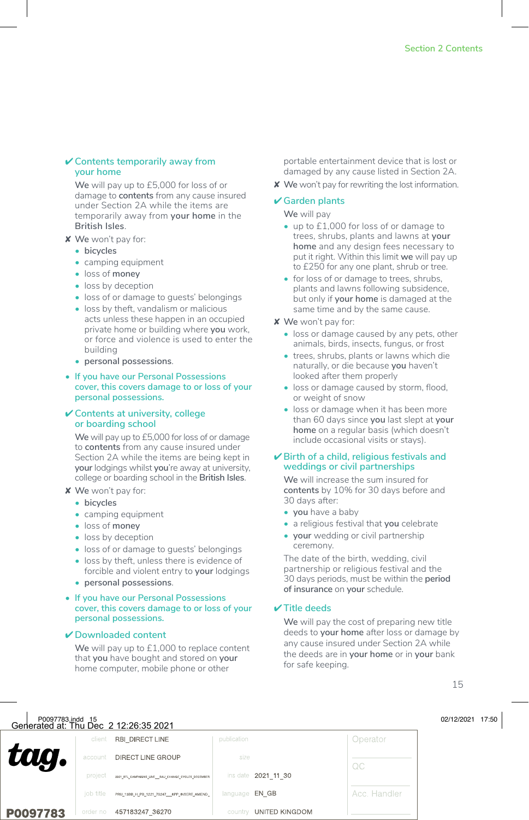#### ✔ **Contents temporarily away from your home**

**We** will pay up to £5,000 for loss of or damage to **contents** from any cause insured under Section 2A while the items are temporarily away from **your home** in the **British Isles**.

- ✘ **We** won't pay for:
	- **• bicycles**
	- camping equipment
	- loss of **money**
	- loss by deception
	- loss of or damage to guests' belongings
	- loss by theft, vandalism or malicious acts unless these happen in an occupied private home or building where **you** work, or force and violence is used to enter the building
	- **• personal possessions**.
- **• If you have our Personal Possessions cover, this covers damage to or loss of your personal possessions.**

#### ✔ **Contents at university, college or boarding school**

**We** will pay up to £5,000 for loss of or damage to **contents** from any cause insured under Section 2A while the items are being kept in **your** lodgings whilst **you**'re away at university, college or boarding school in the **British Isles**.

- ✘ **We** won't pay for:
	- **• bicycles**
	- camping equipment
	- loss of **money**
	- loss by deception
	- loss of or damage to guests' belongings
	- loss by theft, unless there is evidence of forcible and violent entry to **your** lodgings
	- **• personal possessions**.

#### **• If you have our Personal Possessions cover, this covers damage to or loss of your personal possessions.**

#### ✔ **Downloaded content**

**We** will pay up to £1,000 to replace content that **you** have bought and stored on **your** home computer, mobile phone or other

portable entertainment device that is lost or damaged by any cause listed in Section 2A.

✘ **We** won't pay for rewriting the lost information.

#### ✔ **Garden plants**

**We** will pay

- up to £1,000 for loss of or damage to trees, shrubs, plants and lawns at **your home** and any design fees necessary to put it right. Within this limit **we** will pay up to £250 for any one plant, shrub or tree.
- for loss of or damage to trees, shrubs, plants and lawns following subsidence, but only if **your home** is damaged at the same time and by the same cause.
- ✘ **We** won't pay for:
	- loss or damage caused by any pets, other animals, birds, insects, fungus, or frost
	- trees, shrubs, plants or lawns which die naturally, or die because **you** haven't looked after them properly
	- loss or damage caused by storm, flood, or weight of snow
	- loss or damage when it has been more than 60 days since **you** last slept at **your home** on a regular basis (which doesn't include occasional visits or stays).

#### ✔ **Birth of a child, religious festivals and weddings or civil partnerships**

**We** will increase the sum insured for **contents** by 10% for 30 days before and 30 days after:

- **• you** have a baby
- a religious festival that **you** celebrate
- **• your** wedding or civil partnership ceremony.

The date of the birth, wedding, civil partnership or religious festival and the 30 days periods, must be within the **period of insurance** on **your** schedule.

#### ✔ **Title deeds**

**We** will pay the cost of preparing new title deeds to **your home** after loss or damage by any cause insured under Section 2A while the deeds are in **your home** or in **your** bank for safe keeping.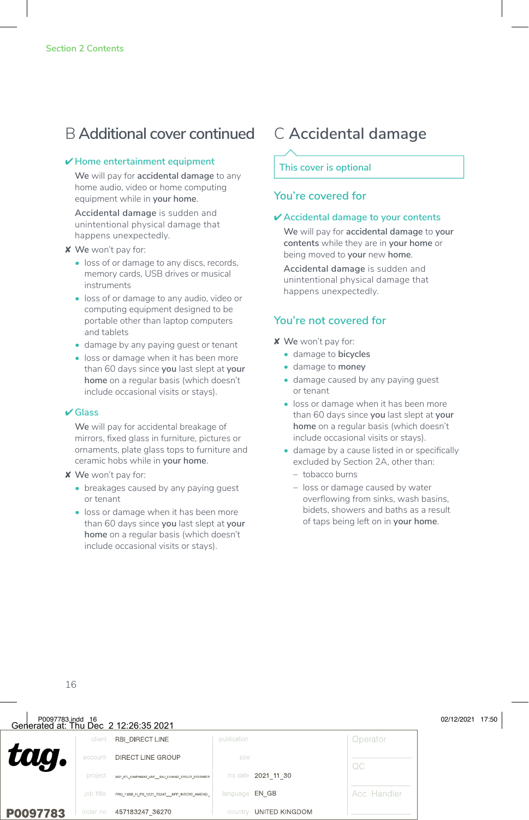### B **Additional cover continued** C **Accidental damage**

#### ✔ **Home entertainment equipment**

**We** will pay for **accidental damage** to any home audio, video or home computing equipment while in **your home**.

**Accidental damage** is sudden and unintentional physical damage that happens unexpectedly.

#### ✘ **We** won't pay for:

- loss of or damage to any discs, records, memory cards, USB drives or musical instruments
- loss of or damage to any audio, video or computing equipment designed to be portable other than laptop computers and tablets
- damage by any paying guest or tenant
- loss or damage when it has been more than 60 days since **you** last slept at **your home** on a regular basis (which doesn't include occasional visits or stays).

#### ✔ **Glass**

**We** will pay for accidental breakage of mirrors, fixed glass in furniture, pictures or ornaments, plate glass tops to furniture and ceramic hobs while in **your home**.

✘ **We** won't pay for:

- breakages caused by any paying guest or tenant
- loss or damage when it has been more than 60 days since **you** last slept at **your home** on a regular basis (which doesn't include occasional visits or stays).

#### **This cover is optional**

#### **You're covered for**

#### ✔ **Accidental damage to your contents**

**We** will pay for **accidental damage** to **your contents** while they are in **your home** or being moved to **your** new **home**.

**Accidental damage** is sudden and unintentional physical damage that happens unexpectedly.

- ✘ **We** won't pay for:
	- damage to **bicycles**
	- damage to **money**
	- damage caused by any paying guest or tenant
	- loss or damage when it has been more than 60 days since **you** last slept at **your home** on a regular basis (which doesn't include occasional visits or stays).
	- damage by a cause listed in or specifically excluded by Section 2A, other than:
		- tobacco burns
		- loss or damage caused by water overflowing from sinks, wash basins, bidets, showers and baths as a result of taps being left on in **your home**.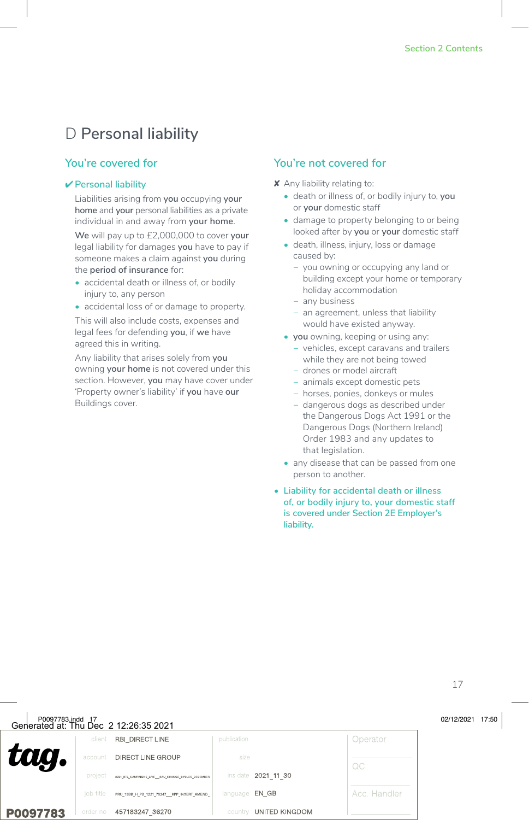### D **Personal liability**

#### **You're covered for**

#### ✔ **Personal liability**

Liabilities arising from **you** occupying **your home** and **your** personal liabilities as a private individual in and away from **your home**.

**We** will pay up to £2,000,000 to cover **your** legal liability for damages **you** have to pay if someone makes a claim against **you** during the **period of insurance** for:

- accidental death or illness of, or bodily injury to, any person
- accidental loss of or damage to property.

This will also include costs, expenses and legal fees for defending **you**, if **we** have agreed this in writing.

Any liability that arises solely from **you** owning **your home** is not covered under this section. However, **you** may have cover under 'Property owner's liability' if **you** have **our** Buildings cover.

- ✘ Any liability relating to:
	- death or illness of, or bodily injury to, **you** or **your** domestic staff
	- damage to property belonging to or being looked after by **you** or **your** domestic staff
	- death, illness, injury, loss or damage caused by:
		- − you owning or occupying any land or building except your home or temporary holiday accommodation
		- − any business
		- an agreement, unless that liability would have existed anyway.
	- **• you** owning, keeping or using any:
		- − vehicles, except caravans and trailers while they are not being towed
		- − drones or model aircraft
		- − animals except domestic pets
		- − horses, ponies, donkeys or mules
		- − dangerous dogs as described under the Dangerous Dogs Act 1991 or the Dangerous Dogs (Northern Ireland) Order 1983 and any updates to that legislation.
	- any disease that can be passed from one person to another.
- **• Liability for accidental death or illness of, or bodily injury to, your domestic staff is covered under Section 2E Employer's liability.**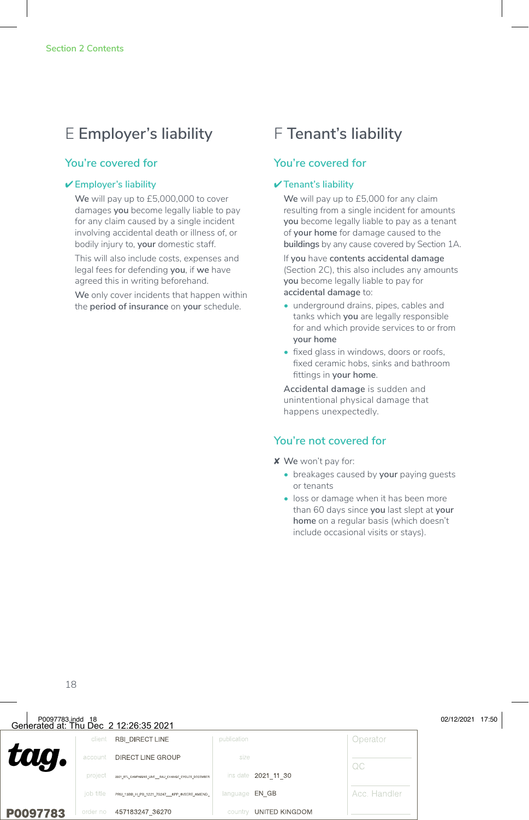### E **Employer's liability** F **Tenant's liability**

#### **You're covered for**

#### ✔ **Employer's liability**

**We** will pay up to £5,000,000 to cover damages **you** become legally liable to pay for any claim caused by a single incident involving accidental death or illness of, or bodily injury to, **your** domestic staff.

This will also include costs, expenses and legal fees for defending **you**, if **we** have agreed this in writing beforehand.

**We** only cover incidents that happen within the **period of insurance** on **your** schedule.

#### **You're covered for**

#### ✔ **Tenant's liability**

**We** will pay up to £5,000 for any claim resulting from a single incident for amounts **you** become legally liable to pay as a tenant of **your home** for damage caused to the **buildings** by any cause covered by Section 1A.

If **you** have **contents accidental damage** (Section 2C), this also includes any amounts **you** become legally liable to pay for **accidental damage** to:

- underground drains, pipes, cables and tanks which **you** are legally responsible for and which provide services to or from **your home**
- fixed glass in windows, doors or roofs, fixed ceramic hobs, sinks and bathroom fittings in **your home**.

**Accidental damage** is sudden and unintentional physical damage that happens unexpectedly.

- ✘ **We** won't pay for:
	- breakages caused by **your** paying guests or tenants
	- loss or damage when it has been more than 60 days since **you** last slept at **your home** on a regular basis (which doesn't include occasional visits or stays).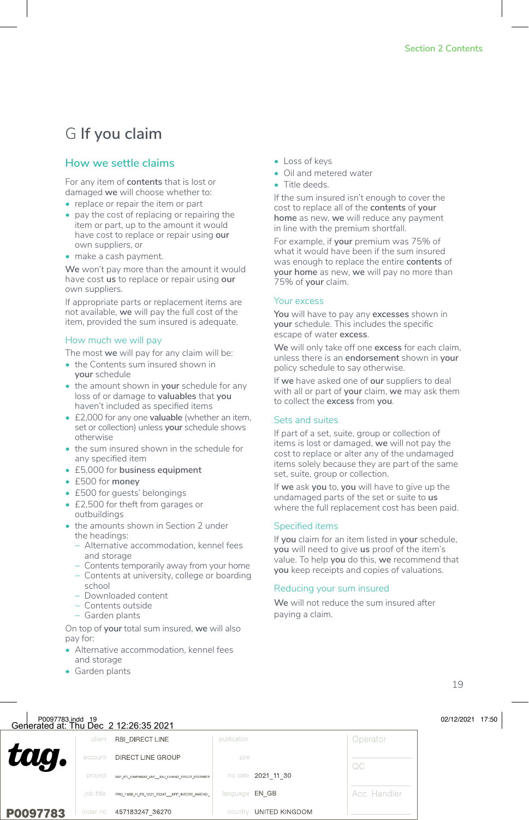## G **If you claim**

#### **How we settle claims**

For any item of **contents** that is lost or damaged **we** will choose whether to:

- replace or repair the item or part
- pay the cost of replacing or repairing the item or part, up to the amount it would have cost to replace or repair using **our** own suppliers, or
- make a cash payment.

**We** won't pay more than the amount it would have cost **us** to replace or repair using **our** own suppliers.

If appropriate parts or replacement items are not available, **we** will pay the full cost of the item, provided the sum insured is adequate.

#### How much we will pay

The most **we** will pay for any claim will be:

- the Contents sum insured shown in **your** schedule
- the amount shown in **your** schedule for any loss of or damage to **valuables** that **you** haven't included as specified items
- £2,000 for any one **valuable** (whether an item, set or collection) unless **your** schedule shows otherwise
- the sum insured shown in the schedule for any specified item
- £5,000 for **business equipment**
- £500 for **money**
- £500 for guests' belongings
- £2,500 for theft from garages or outbuildings
- the amounts shown in Section 2 under the headings:
	- − Alternative accommodation, kennel fees and storage
	- − Contents temporarily away from your home
	- − Contents at university, college or boarding school
	- − Downloaded content
	- − Contents outside
	- − Garden plants

On top of **your** total sum insured, **we** will also pay for:

• Alternative accommodation, kennel fees and storage

- Loss of keys
- Oil and metered water
- Title deeds.

If the sum insured isn't enough to cover the cost to replace all of the **contents** of **your home** as new, **we** will reduce any payment in line with the premium shortfall.

For example, if **your** premium was 75% of what it would have been if the sum insured was enough to replace the entire **contents** of **your home** as new, **we** will pay no more than 75% of **your** claim.

#### Your excess

**You** will have to pay any **excesses** shown in **your** schedule. This includes the specific escape of water **excess**.

**We** will only take off one **excess** for each claim, unless there is an **endorsement** shown in **your** policy schedule to say otherwise.

If **we** have asked one of **our** suppliers to deal with all or part of **your** claim, **we** may ask them to collect the **excess** from **you**.

#### Sets and suites

If part of a set, suite, group or collection of items is lost or damaged, **we** will not pay the cost to replace or alter any of the undamaged items solely because they are part of the same set, suite, group or collection.

If **we** ask **you** to, **you** will have to give up the undamaged parts of the set or suite to **us** where the full replacement cost has been paid.

#### Specified items

If **you** claim for an item listed in **your** schedule, **you** will need to give **us** proof of the item's value. To help **you** do this, **we** recommend that **you** keep receipts and copies of valuations.

#### Reducing your sum insured

**We** will not reduce the sum insured after paying a claim.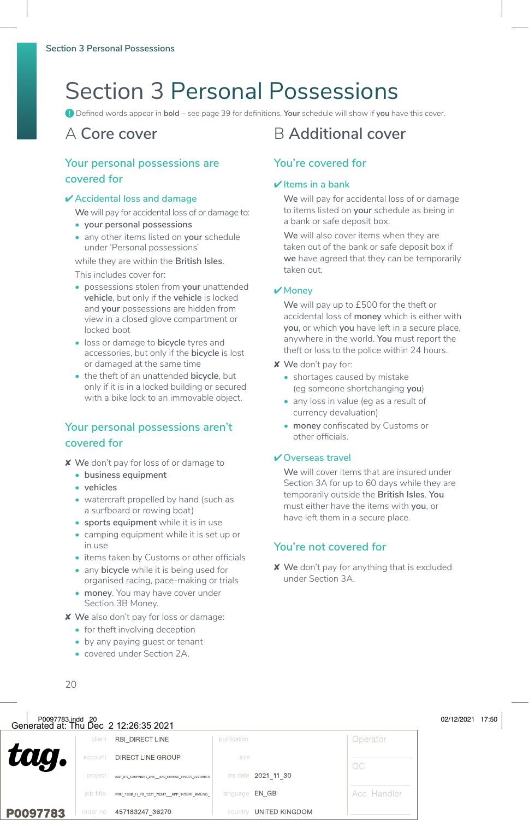# Section 3 Personal Possessions

**!** Defined words appear in **bold** – see page 39 for definitions. **Your** schedule will show if **you** have this cover.

#### **Your personal possessions are covered for**

#### ✔ **Accidental loss and damage**

**We** will pay for accidental loss of or damage to:

- **• your personal possessions**
- any other items listed on **your** schedule under 'Personal possessions'

while they are within the **British Isles**.

This includes cover for:

- possessions stolen from **your** unattended **vehicle**, but only if the **vehicle** is locked and **your** possessions are hidden from view in a closed glove compartment or locked boot
- loss or damage to **bicycle** tyres and accessories, but only if the **bicycle** is lost or damaged at the same time
- the theft of an unattended **bicycle**, but only if it is in a locked building or secured with a bike lock to an immovable object.

#### **Your personal possessions aren't covered for**

- ✘ **We** don't pay for loss of or damage to
	- **• business equipment**
	- **• vehicles**
	- watercraft propelled by hand (such as a surfboard or rowing boat)
	- **• sports equipment** while it is in use
	- camping equipment while it is set up or in use
	- items taken by Customs or other officials
	- any **bicycle** while it is being used for organised racing, pace-making or trials
	- **• money**. You may have cover under Section 3B Money.
- ✘ **We** also don't pay for loss or damage:
	- for theft involving deception
	- by any paying guest or tenant
	- covered under Section 2A.

### A **Core cover** B **Additional cover**

#### **You're covered for**

#### ✔ **Items in a bank**

**We** will pay for accidental loss of or damage to items listed on **your** schedule as being in a bank or safe deposit box.

**We** will also cover items when they are taken out of the bank or safe deposit box if **we** have agreed that they can be temporarily taken out.

#### ✔ **Money**

**We** will pay up to £500 for the theft or accidental loss of **money** which is either with **you**, or which **you** have left in a secure place, anywhere in the world. **You** must report the theft or loss to the police within 24 hours.

- ✘ **We** don't pay for:
	- shortages caused by mistake (eg someone shortchanging **you**)
	- any loss in value (eg as a result of currency devaluation)
	- **• money** confiscated by Customs or other officials.

#### ✔ **Overseas travel**

**We** will cover items that are insured under Section 3A for up to 60 days while they are temporarily outside the **British Isles**. **You** must either have the items with **you**, or have left them in a secure place.

#### **You're not covered for**

✘ **We** don't pay for anything that is excluded under Section 3A.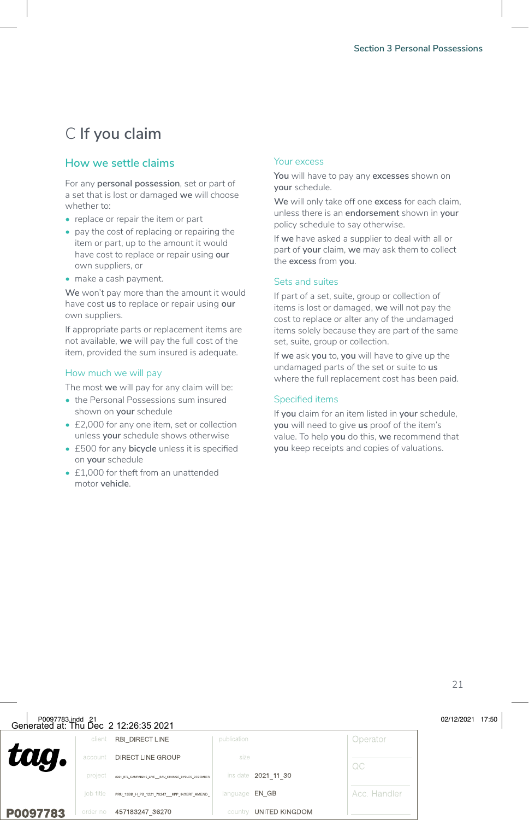## C **If you claim**

#### **How we settle claims**

For any **personal possession**, set or part of a set that is lost or damaged **we** will choose whether to:

- replace or repair the item or part
- pay the cost of replacing or repairing the item or part, up to the amount it would have cost to replace or repair using **our** own suppliers, or
- make a cash payment.

**We** won't pay more than the amount it would have cost **us** to replace or repair using **our** own suppliers.

If appropriate parts or replacement items are not available, **we** will pay the full cost of the item, provided the sum insured is adequate.

#### How much we will pay

The most **we** will pay for any claim will be:

- the Personal Possessions sum insured shown on **your** schedule
- £2,000 for any one item, set or collection unless **your** schedule shows otherwise
- £500 for any **bicycle** unless it is specified on **your** schedule
- £1,000 for theft from an unattended motor **vehicle**.

#### Your excess

**You** will have to pay any **excesses** shown on **your** schedule.

**We** will only take off one **excess** for each claim, unless there is an **endorsement** shown in **your** policy schedule to say otherwise.

If **we** have asked a supplier to deal with all or part of **your** claim, **we** may ask them to collect the **excess** from **you**.

#### Sets and suites

If part of a set, suite, group or collection of items is lost or damaged, **we** will not pay the cost to replace or alter any of the undamaged items solely because they are part of the same set, suite, group or collection.

If **we** ask **you** to, **you** will have to give up the undamaged parts of the set or suite to **us** where the full replacement cost has been paid.

#### Specified items

If **you** claim for an item listed in **your** schedule, **you** will need to give **us** proof of the item's value. To help **you** do this, **we** recommend that **you** keep receipts and copies of valuations.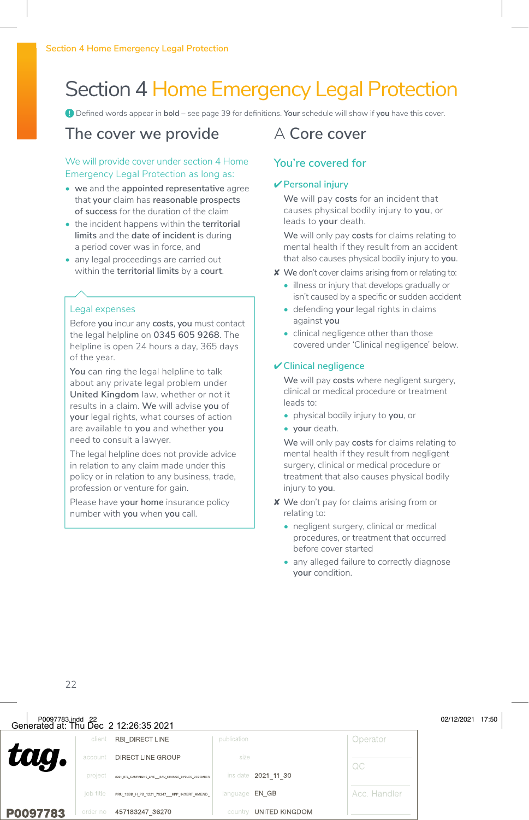# Section 4 Home Emergency Legal Protection

**!** Defined words appear in **bold** – see page 39 for definitions. **Your** schedule will show if **you** have this cover.

### **The cover we provide**

#### We will provide cover under section 4 Home Emergency Legal Protection as long as:

- **• we** and the **appointed representative** agree that **your** claim has **reasonable prospects of success** for the duration of the claim
- the incident happens within the **territorial limits** and the **date of incident** is during a period cover was in force, and
- any legal proceedings are carried out within the **territorial limits** by a **court**.

#### Legal expenses

Before **you** incur any **costs**, **you** must contact the legal helpline on **0345 605 9268**. The helpline is open 24 hours a day, 365 days of the year.

**You** can ring the legal helpline to talk about any private legal problem under **United Kingdom** law, whether or not it results in a claim. **We** will advise **you** of **your** legal rights, what courses of action are available to **you** and whether **you** need to consult a lawyer.

The legal helpline does not provide advice in relation to any claim made under this policy or in relation to any business, trade, profession or venture for gain.

Please have **your home** insurance policy number with **you** when **you** call.

### A **Core cover**

#### **You're covered for**

#### ✔ **Personal injury**

**We** will pay **costs** for an incident that causes physical bodily injury to **you**, or leads to **your** death.

**We** will only pay **costs** for claims relating to mental health if they result from an accident that also causes physical bodily injury to **you**.

- ✘ **We** don't cover claims arising from or relating to:
	- illness or injury that develops gradually or isn't caused by a specific or sudden accident
	- defending **your** legal rights in claims against **you**
	- clinical negligence other than those covered under 'Clinical negligence' below.

#### ✔ **Clinical negligence**

**We** will pay **costs** where negligent surgery, clinical or medical procedure or treatment leads to:

- physical bodily injury to **you**, or
- **• your** death.

**We** will only pay **costs** for claims relating to mental health if they result from negligent surgery, clinical or medical procedure or treatment that also causes physical bodily injury to **you**.

- ✘ **We** don't pay for claims arising from or relating to:
	- negligent surgery, clinical or medical procedures, or treatment that occurred before cover started
	- any alleged failure to correctly diagnose **your** condition.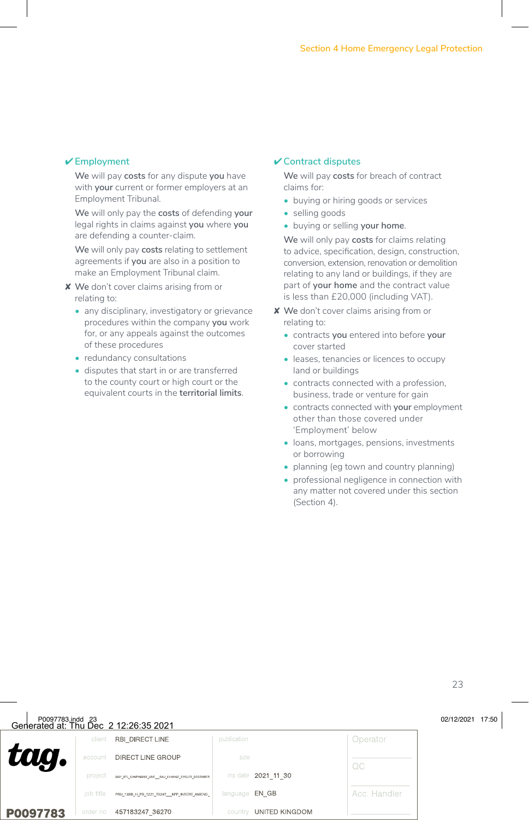#### ✔ **Employment**

**We** will pay **costs** for any dispute **you** have with **your** current or former employers at an Employment Tribunal.

**We** will only pay the **costs** of defending **your** legal rights in claims against **you** where **you** are defending a counter-claim.

**We** will only pay **costs** relating to settlement agreements if **you** are also in a position to make an Employment Tribunal claim.

✘ **We** don't cover claims arising from or relating to:

- any disciplinary, investigatory or grievance procedures within the company **you** work for, or any appeals against the outcomes of these procedures
- redundancy consultations
- disputes that start in or are transferred to the county court or high court or the equivalent courts in the **territorial limits**.

#### ✔ **Contract disputes**

**We** will pay **costs** for breach of contract claims for:

- buying or hiring goods or services
- selling goods
- buying or selling **your home**.

**We** will only pay **costs** for claims relating to advice, specification, design, construction, conversion, extension, renovation or demolition relating to any land or buildings, if they are part of **your home** and the contract value is less than £20,000 (including VAT).

- ✘ **We** don't cover claims arising from or relating to:
	- contracts **you** entered into before **your** cover started
	- leases, tenancies or licences to occupy land or buildings
	- contracts connected with a profession, business, trade or venture for gain
	- contracts connected with **your** employment other than those covered under 'Employment' below
	- loans, mortgages, pensions, investments or borrowing
	- planning (eg town and country planning)
	- professional negligence in connection with any matter not covered under this section (Section 4).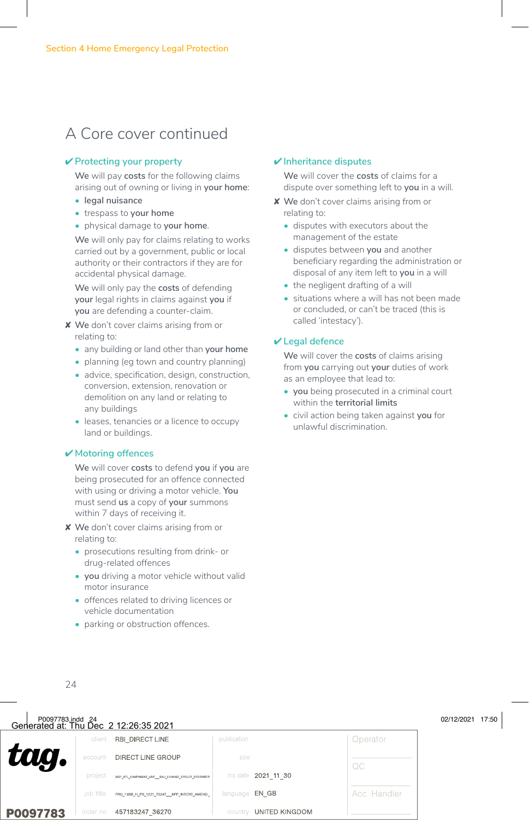### A Core cover continued

#### ✔ **Protecting your property**

**We** will pay **costs** for the following claims arising out of owning or living in **your home**:

- **• legal nuisance**
- trespass to **your home**
- physical damage to **your home**.

**We** will only pay for claims relating to works carried out by a government, public or local authority or their contractors if they are for accidental physical damage.

**We** will only pay the **costs** of defending **your** legal rights in claims against **you** if **you** are defending a counter-claim.

- ✘ **We** don't cover claims arising from or relating to:
	- any building or land other than **your home**
	- planning (eg town and country planning)
	- advice, specification, design, construction, conversion, extension, renovation or demolition on any land or relating to any buildings
	- leases, tenancies or a licence to occupy land or buildings.

#### ✔ **Motoring offences**

**We** will cover **costs** to defend **you** if **you** are being prosecuted for an offence connected with using or driving a motor vehicle. **You** must send **us** a copy of **your** summons within 7 days of receiving it.

- ✘ **We** don't cover claims arising from or relating to:
	- prosecutions resulting from drink- or drug-related offences
	- **• you** driving a motor vehicle without valid motor insurance
	- offences related to driving licences or vehicle documentation
	- parking or obstruction offences.

#### ✔ **Inheritance disputes**

**We** will cover the **costs** of claims for a dispute over something left to **you** in a will.

- ✘ **We** don't cover claims arising from or relating to:
	- disputes with executors about the management of the estate
	- disputes between **you** and another beneficiary regarding the administration or disposal of any item left to **you** in a will
	- the negligent drafting of a will
	- situations where a will has not been made or concluded, or can't be traced (this is called 'intestacy').

#### ✔ **Legal defence**

**We** will cover the **costs** of claims arising from **you** carrying out **your** duties of work as an employee that lead to:

- **• you** being prosecuted in a criminal court within the **territorial limits**
- civil action being taken against **you** for unlawful discrimination.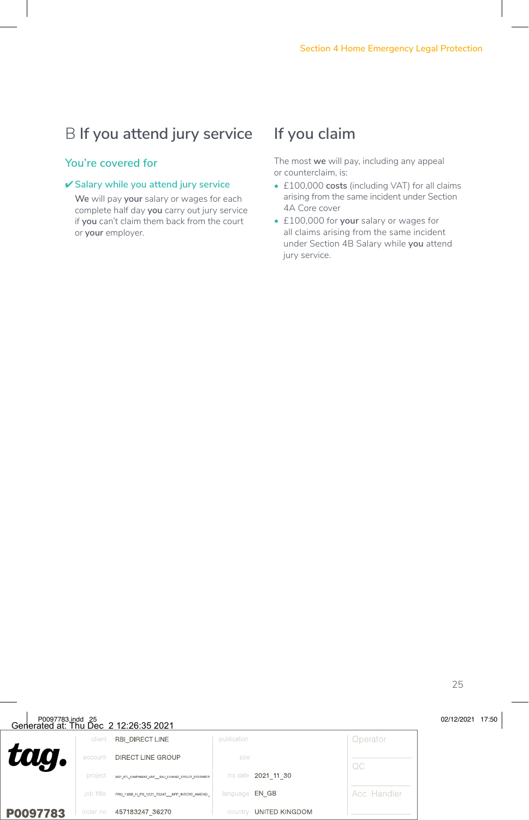## B **If you attend jury service**

#### **You're covered for**

#### ✔ **Salary while you attend jury service**

**We** will pay **your** salary or wages for each complete half day **you** carry out jury service if **you** can't claim them back from the court or **your** employer.

### **If you claim**

The most **we** will pay, including any appeal or counterclaim, is:

- £100,000 **costs** (including VAT) for all claims arising from the same incident under Section 4A Core cover
- £100,000 for **your** salary or wages for all claims arising from the same incident under Section 4B Salary while **you** attend jury service.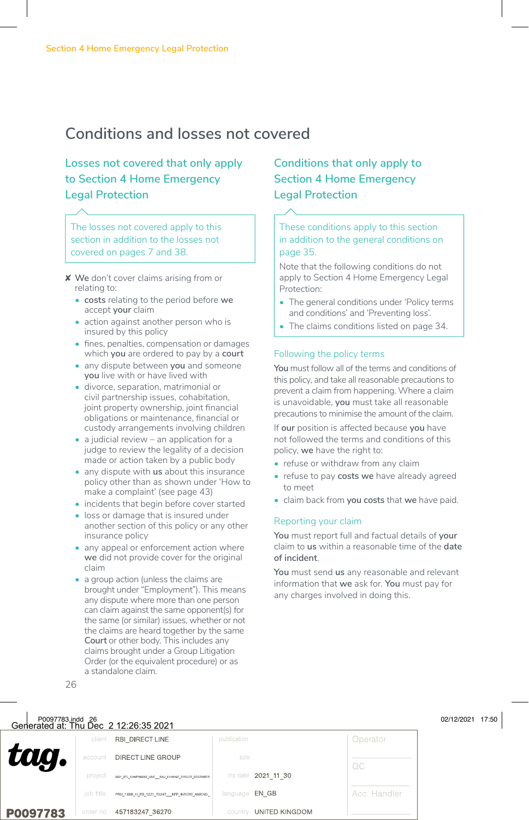### **Conditions and losses not covered**

### **Losses not covered that only apply to Section 4 Home Emergency Legal Protection**

The losses not covered apply to this section in addition to the losses not covered on pages 7 and 38.

- ✘ **We** don't cover claims arising from or relating to:
	- **• costs** relating to the period before **we** accept **your** claim
	- action against another person who is insured by this policy
	- fines, penalties, compensation or damages which **you** are ordered to pay by a **court**
	- any dispute between **you** and someone **you** live with or have lived with
	- divorce, separation, matrimonial or civil partnership issues, cohabitation, joint property ownership, joint financial obligations or maintenance, financial or custody arrangements involving children
	- a judicial review an application for a judge to review the legality of a decision made or action taken by a public body
	- any dispute with **us** about this insurance policy other than as shown under 'How to make a complaint' (see page 43)
	- incidents that begin before cover started
	- loss or damage that is insured under another section of this policy or any other insurance policy
	- any appeal or enforcement action where **we** did not provide cover for the original claim
	- a group action (unless the claims are brought under "Employment"). This means any dispute where more than one person can claim against the same opponent(s) for the same (or similar) issues, whether or not the claims are heard together by the same **Court** or other body. This includes any claims brought under a Group Litigation Order (or the equivalent procedure) or as a standalone claim.

### **Conditions that only apply to Section 4 Home Emergency Legal Protection**

#### These conditions apply to this section in addition to the general conditions on page 35.

Note that the following conditions do not apply to Section 4 Home Emergency Legal Protection:

- The general conditions under 'Policy terms and conditions' and 'Preventing loss'.
- The claims conditions listed on page 34.

#### Following the policy terms

**You** must follow all of the terms and conditions of this policy, and take all reasonable precautions to prevent a claim from happening. Where a claim is unavoidable, **you** must take all reasonable precautions to minimise the amount of the claim.

If **our** position is affected because **you** have not followed the terms and conditions of this policy, **we** have the right to:

- refuse or withdraw from any claim
- refuse to pay **costs we** have already agreed to meet
- claim back from **you costs** that **we** have paid.

#### Reporting your claim

**You** must report full and factual details of **your** claim to **us** within a reasonable time of the **date of incident**.

**You** must send **us** any reasonable and relevant information that **we** ask for. **You** must pay for any charges involved in doing this.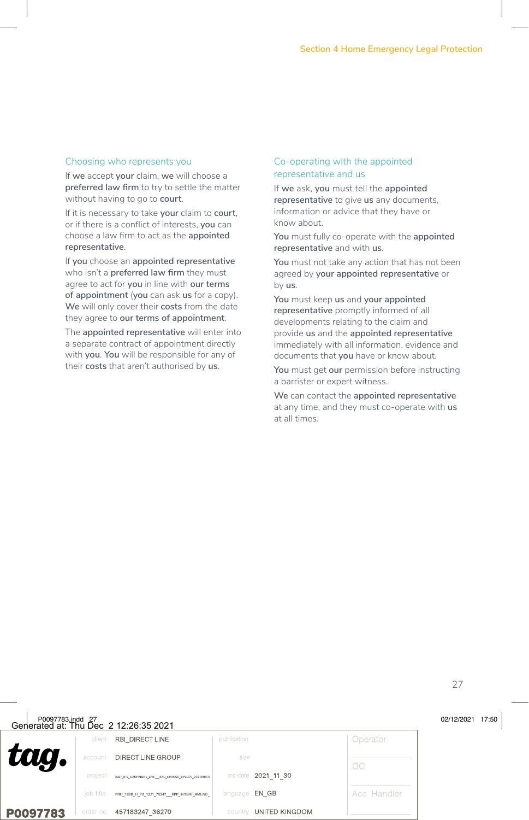#### Choosing who represents you

If **we** accept **your** claim, **we** will choose a **preferred law firm** to try to settle the matter without having to go to **court**.

If it is necessary to take **your** claim to **court**, or if there is a conflict of interests, **you** can choose a law firm to act as the **appointed representative**.

If **you** choose an **appointed representative** who isn't a **preferred law firm** they must agree to act for **you** in line with **our terms of appointment** (**you** can ask **us** for a copy). **We** will only cover their **costs** from the date they agree to **our terms of appointment**.

The **appointed representative** will enter into a separate contract of appointment directly with **you**. **You** will be responsible for any of their **costs** that aren't authorised by **us**.

#### Co-operating with the appointed representative and us

If **we** ask, **you** must tell the **appointed representative** to give **us** any documents, information or advice that they have or know about.

**You** must fully co-operate with the **appointed representative** and with **us**.

**You** must not take any action that has not been agreed by **your appointed representative** or by **us**.

**You** must keep **us** and **your appointed representative** promptly informed of all developments relating to the claim and provide **us** and the **appointed representative** immediately with all information, evidence and documents that **you** have or know about.

**You** must get **our** permission before instructing a barrister or expert witness.

**We** can contact the **appointed representative** at any time, and they must co-operate with **us** at all times.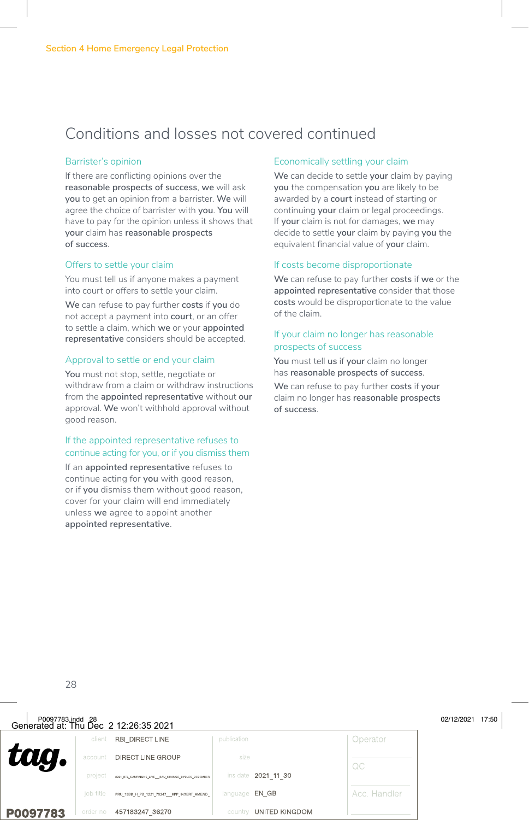### Conditions and losses not covered continued

#### Barrister's opinion

If there are conflicting opinions over the **reasonable prospects of success**, **we** will ask **you** to get an opinion from a barrister. **We** will agree the choice of barrister with **you**. **You** will have to pay for the opinion unless it shows that **your** claim has **reasonable prospects of success**.

#### Offers to settle your claim

You must tell us if anyone makes a payment into court or offers to settle your claim.

**We** can refuse to pay further **costs** if **you** do not accept a payment into **court**, or an offer to settle a claim, which **we** or your **appointed representative** considers should be accepted.

#### Approval to settle or end your claim

**You** must not stop, settle, negotiate or withdraw from a claim or withdraw instructions from the **appointed representative** without **our** approval. **We** won't withhold approval without good reason.

#### If the appointed representative refuses to continue acting for you, or if you dismiss them

If an **appointed representative** refuses to continue acting for **you** with good reason, or if **you** dismiss them without good reason, cover for your claim will end immediately unless **we** agree to appoint another **appointed representative**.

#### Economically settling your claim

**We** can decide to settle **your** claim by paying **you** the compensation **you** are likely to be awarded by a **court** instead of starting or continuing **your** claim or legal proceedings. If **your** claim is not for damages, **we** may decide to settle **your** claim by paying **you** the equivalent financial value of **your** claim.

#### If costs become disproportionate

**We** can refuse to pay further **costs** if **we** or the **appointed representative** consider that those **costs** would be disproportionate to the value of the claim.

#### If your claim no longer has reasonable prospects of success

**You** must tell **us** if **your** claim no longer has **reasonable prospects of success**.

**We** can refuse to pay further **costs** if **your** claim no longer has **reasonable prospects of success**.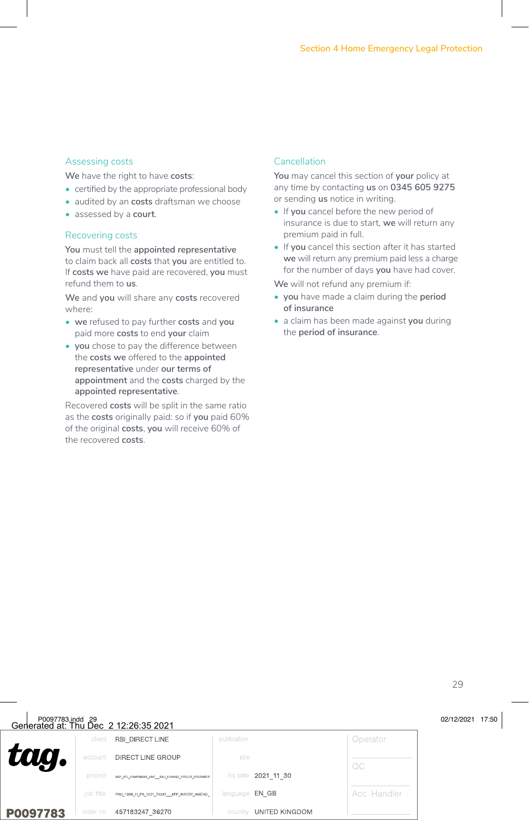#### Assessing costs

**We** have the right to have **costs**:

- certified by the appropriate professional body
- audited by an **costs** draftsman we choose
- assessed by a **court**.

#### Recovering costs

**You** must tell the **appointed representative** to claim back all **costs** that **you** are entitled to. If **costs we** have paid are recovered, **you** must refund them to **us**.

**We** and **you** will share any **costs** recovered where:

- **• we** refused to pay further **costs** and **you** paid more **costs** to end **your** claim
- **• you** chose to pay the difference between the **costs we** offered to the **appointed representative** under **our terms of appointment** and the **costs** charged by the **appointed representative**.

Recovered **costs** will be split in the same ratio as the **costs** originally paid: so if **you** paid 60% of the original **costs**, **you** will receive 60% of the recovered **costs**.

#### Cancellation

**You** may cancel this section of **your** policy at any time by contacting **us** on **0345 605 9275** or sending **us** notice in writing.

- If **you** cancel before the new period of insurance is due to start, **we** will return any premium paid in full.
- If **you** cancel this section after it has started **we** will return any premium paid less a charge for the number of days **you** have had cover.

**We** will not refund any premium if:

- **• you** have made a claim during the **period of insurance**
- a claim has been made against **you** during the **period of insurance**.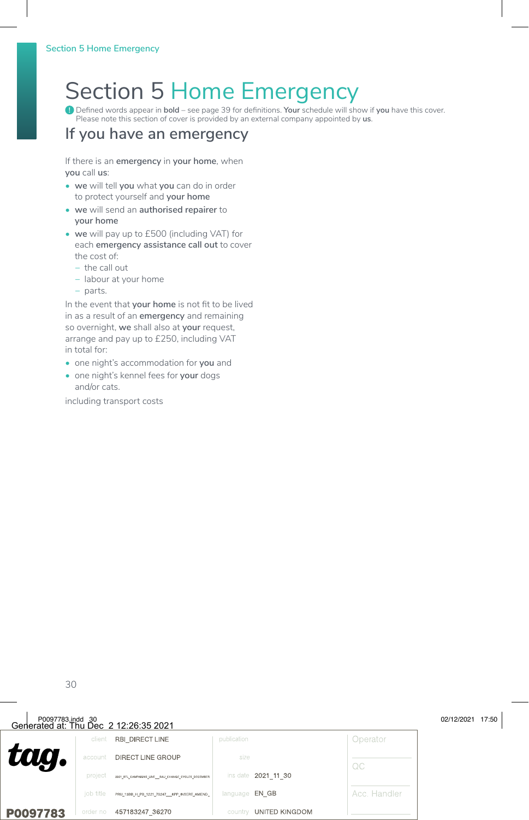# Section 5 Home Emergency

**!** Defined words appear in **bold** – see page 39 for definitions. **Your** schedule will show if **you** have this cover. Please note this section of cover is provided by an external company appointed by **us**.

### **If you have an emergency**

If there is an **emergency** in **your home**, when **you** call **us**:

- **• we** will tell **you** what **you** can do in order to protect yourself and **your home**
- **• we** will send an **authorised repairer** to **your home**
- **• we** will pay up to £500 (including VAT) for each **emergency assistance call out** to cover the cost of:
	- − the call out
	- − labour at your home
	- − parts.

In the event that **your home** is not fit to be lived in as a result of an **emergency** and remaining so overnight, **we** shall also at **your** request, arrange and pay up to £250, including VAT in total for:

- one night's accommodation for **you** and
- one night's kennel fees for **your** dogs and/or cats.

including transport costs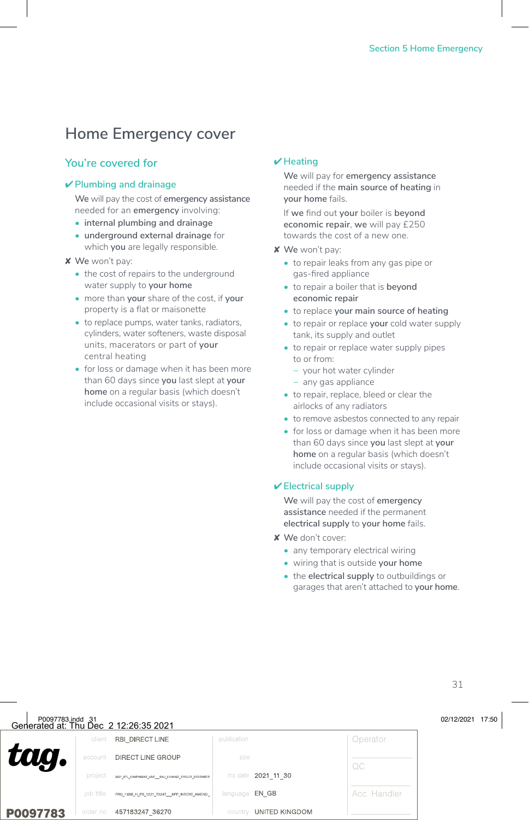### **Home Emergency cover**

#### **You're covered for**

#### ✔ **Plumbing and drainage**

**We** will pay the cost of **emergency assistance** needed for an **emergency** involving:

- **• internal plumbing and drainage**
- **• underground external drainage** for which **you** are legally responsible.

#### ✘ **We** won't pay:

- the cost of repairs to the underground water supply to **your home**
- more than **your** share of the cost, if **your** property is a flat or maisonette
- to replace pumps, water tanks, radiators, cylinders, water softeners, waste disposal units, macerators or part of **your** central heating
- for loss or damage when it has been more than 60 days since **you** last slept at **your home** on a regular basis (which doesn't include occasional visits or stays).

#### ✔ **Heating**

**We** will pay for **emergency assistance** needed if the **main source of heating** in **your home** fails.

If **we** find out **your** boiler is **beyond economic repair**, **we** will pay £250 towards the cost of a new one.

- ✘ **We** won't pay:
	- to repair leaks from any gas pipe or gas-fired appliance
	- to repair a boiler that is **beyond economic repair**
	- to replace **your main source of heating**
	- to repair or replace **your** cold water supply tank, its supply and outlet
	- to repair or replace water supply pipes to or from:
		- − your hot water cylinder
		- − any gas appliance
	- to repair, replace, bleed or clear the airlocks of any radiators
	- to remove asbestos connected to any repair
	- for loss or damage when it has been more than 60 days since **you** last slept at **your home** on a regular basis (which doesn't include occasional visits or stays).

#### ✔ **Electrical supply**

**We** will pay the cost of **emergency assistance** needed if the permanent **electrical supply** to **your home** fails.

- ✘ **We** don't cover:
	- any temporary electrical wiring
	- wiring that is outside **your home**
	- the **electrical supply** to outbuildings or garages that aren't attached to **your home**.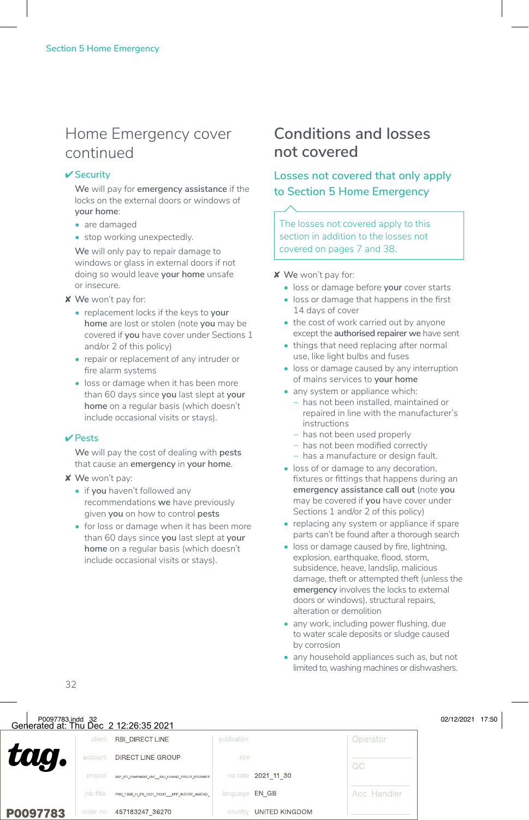### Home Emergency cover continued

#### ✔ **Security**

**We** will pay for **emergency assistance** if the locks on the external doors or windows of **your home**:

- are damaged
- stop working unexpectedly.

**We** will only pay to repair damage to windows or glass in external doors if not doing so would leave **your home** unsafe or insecure.

#### ✘ **We** won't pay for:

- replacement locks if the keys to **your home** are lost or stolen (note **you** may be covered if **you** have cover under Sections 1 and/or 2 of this policy)
- repair or replacement of any intruder or fire alarm systems
- loss or damage when it has been more than 60 days since **you** last slept at **your home** on a regular basis (which doesn't include occasional visits or stays).

#### ✔ **Pests**

**We** will pay the cost of dealing with **pests** that cause an **emergency** in **your home**.

- ✘ **We** won't pay:
	- if **you** haven't followed any recommendations **we** have previously given **you** on how to control **pests**
	- for loss or damage when it has been more than 60 days since **you** last slept at **your home** on a regular basis (which doesn't include occasional visits or stays).

### **Conditions and losses not covered**

### **Losses not covered that only apply to Section 5 Home Emergency**

The losses not covered apply to this section in addition to the losses not covered on pages 7 and 38.

✘ **We** won't pay for:

- loss or damage before **your** cover starts
- loss or damage that happens in the first 14 days of cover
- the cost of work carried out by anyone except the **authorised repairer we** have sent
- things that need replacing after normal use, like light bulbs and fuses
- loss or damage caused by any interruption of mains services to **your home**
- any system or appliance which: − has not been installed, maintained or repaired in line with the manufacturer's instructions
	- − has not been used properly
	- − has not been modified correctly
	- − has a manufacture or design fault.
- loss of or damage to any decoration, fixtures or fittings that happens during an **emergency assistance call out** (note **you** may be covered if **you** have cover under Sections 1 and/or 2 of this policy)
- replacing any system or appliance if spare parts can't be found after a thorough search
- loss or damage caused by fire, lightning, explosion, earthquake, flood, storm, subsidence, heave, landslip, malicious damage, theft or attempted theft (unless the **emergency** involves the locks to external doors or windows), structural repairs alteration or demolition
- any work, including power flushing, due to water scale deposits or sludge caused by corrosion
- any household appliances such as, but not limited to, washing machines or dishwashers.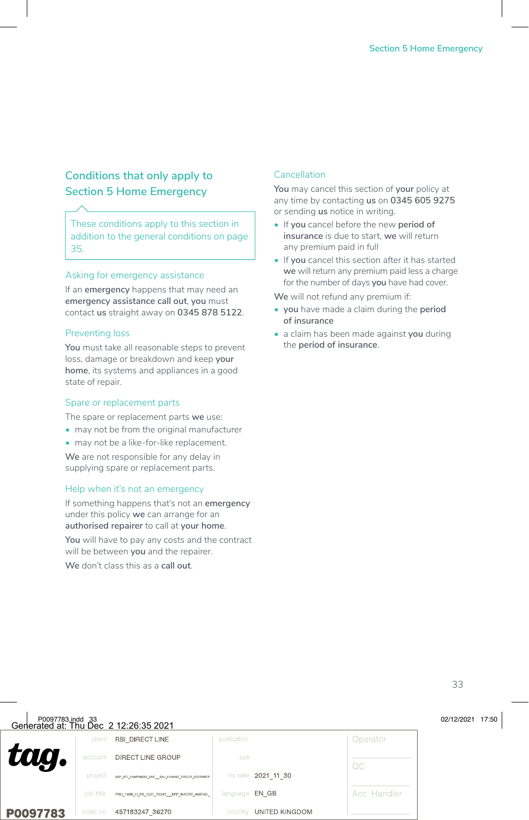### **Conditions that only apply to Section 5 Home Emergency**

These conditions apply to this section in addition to the general conditions on page 35.

#### Asking for emergency assistance

If an **emergency** happens that may need an **emergency assistance call out**, **you** must contact **us** straight away on **0345 878 5122**.

#### Preventing loss

You must take all reasonable steps to prevent loss, damage or breakdown and keep **your home**, its systems and appliances in a good state of repair.

#### Spare or replacement parts

The spare or replacement parts **we** use:

- may not be from the original manufacturer
- may not be a like-for-like replacement.

**We** are not responsible for any delay in supplying spare or replacement parts.

#### Help when it's not an emergency

If something happens that's not an **emergency** under this policy **we** can arrange for an **authorised repairer** to call at **your home**.

**You** will have to pay any costs and the contract will be between **you** and the repairer.

**We** don't class this as a **call out**.

#### **Cancellation**

**You** may cancel this section of **your** policy at any time by contacting **us** on **0345 605 9275** or sending **us** notice in writing.

- If **you** cancel before the new **period of insurance** is due to start, **we** will return any premium paid in full
- If **you** cancel this section after it has started **we** will return any premium paid less a charge for the number of days **you** have had cover.

**We** will not refund any premium if:

- **• you** have made a claim during the **period of insurance**
- a claim has been made against **you** during the **period of insurance**.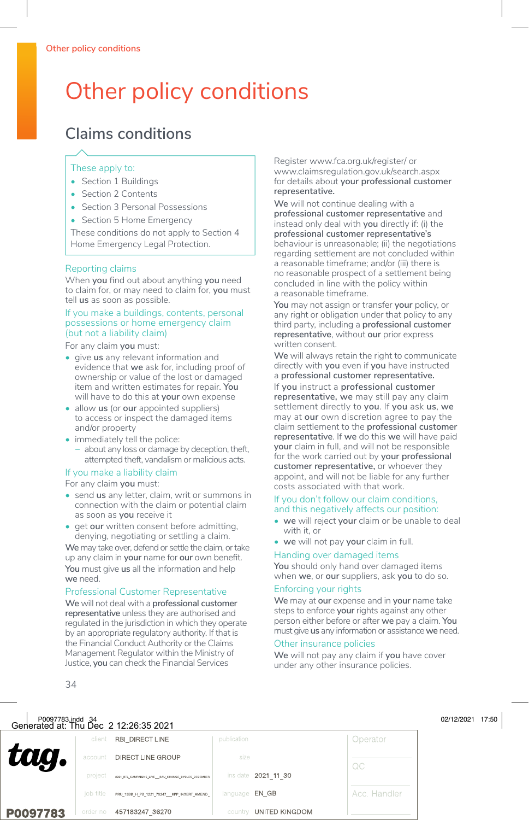# Other policy conditions

## **Claims conditions**

#### These apply to:

- Section 1 Buildings
- Section 2 Contents
- Section 3 Personal Possessions
- Section 5 Home Emergency

These conditions do not apply to Section 4 Home Emergency Legal Protection.

#### Reporting claims

When **you** find out about anything **you** need to claim for, or may need to claim for, **you** must tell **us** as soon as possible.

#### If you make a buildings, contents, personal possessions or home emergency claim (but not a liability claim)

For any claim **you** must:

- give **us** any relevant information and evidence that **we** ask for, including proof of ownership or value of the lost or damaged item and written estimates for repair. **You** will have to do this at **your** own expense
- allow **us** (or **our** appointed suppliers) to access or inspect the damaged items and/or property
- immediately tell the police:
	- − about any loss or damage by deception, theft, attempted theft, vandalism or malicious acts.

#### If you make a liability claim

For any claim **you** must:

- send **us** any letter, claim, writ or summons in connection with the claim or potential claim as soon as **you** receive it
- get **our** written consent before admitting, denying, negotiating or settling a claim.

**We** may take over, defend or settle the claim, or take up any claim in **your** name for **our** own benefit. **You** must give **us** all the information and help **we** need.

#### Professional Customer Representative

**We** will not deal with a **professional customer representative** unless they are authorised and regulated in the jurisdiction in which they operate by an appropriate regulatory authority. If that is the Financial Conduct Authority or the Claims Management Regulator within the Ministry of Justice, **you** can check the Financial Services

Register www.fca.org.uk/register/ or www.claimsregulation.gov.uk/search.aspx for details about **your professional customer representative.**

**We** will not continue dealing with a **professional customer representative** and instead only deal with **you** directly if: (i) the **professional customer representative's** behaviour is unreasonable; (ii) the negotiations regarding settlement are not concluded within a reasonable timeframe; and/or (iii) there is no reasonable prospect of a settlement being concluded in line with the policy within a reasonable timeframe.

**You** may not assign or transfer **your** policy, or any right or obligation under that policy to any third party, including a **professional customer representative**, without **our** prior express written consent.

We will always retain the right to communicate directly with **you** even if **you** have instructed a **professional customer representative.** If **you** instruct a **professional customer representative, we** may still pay any claim settlement directly to **you**. If **you** ask **us**, **we** may at **our** own discretion agree to pay the claim settlement to the **professional customer representative**. If **we** do this **we** will have paid **your** claim in full, and will not be responsible for the work carried out by **your professional customer representative,** or whoever they appoint, and will not be liable for any further costs associated with that work.

#### If you don't follow our claim conditions, and this negatively affects our position:

- **• we** will reject **your** claim or be unable to deal with it, or
- **• we** will not pay **your** claim in full.

#### Handing over damaged items

**You** should only hand over damaged items when **we**, or **our** suppliers, ask **you** to do so.

#### Enforcing your rights

**We** may at **our** expense and in **your** name take steps to enforce **your** rights against any other person either before or after **we** pay a claim. **You** must give **us** any information or assistance **we** need.

#### Other insurance policies

**We** will not pay any claim if **you** have cover under any other insurance policies.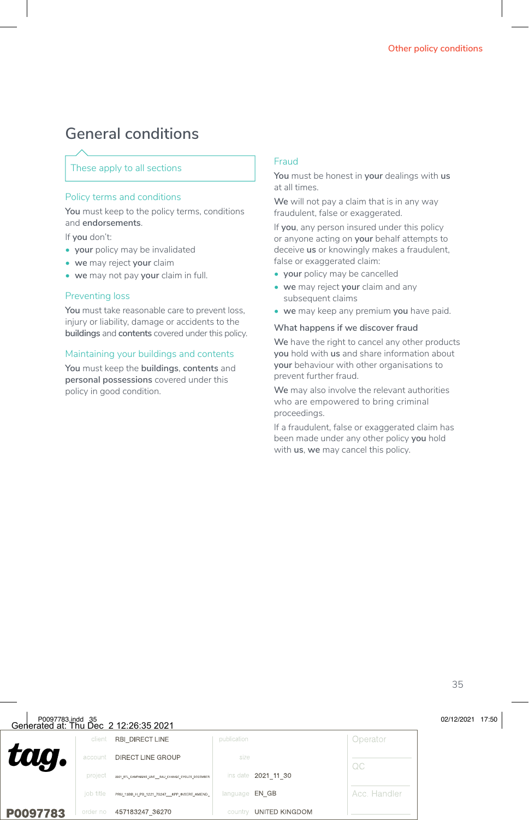### **General conditions**

#### These apply to all sections

#### Policy terms and conditions

**You** must keep to the policy terms, conditions and **endorsements**.

If **you** don't:

- **• your** policy may be invalidated
- **• we** may reject **your** claim
- **• we** may not pay **your** claim in full.

#### Preventing loss

**You** must take reasonable care to prevent loss, injury or liability, damage or accidents to the **buildings** and **contents** covered under this policy.

#### Maintaining your buildings and contents

**You** must keep the **buildings**, **contents** and **personal possessions** covered under this policy in good condition.

#### Fraud

**You** must be honest in **your** dealings with **us** at all times.

**We** will not pay a claim that is in any way fraudulent, false or exaggerated.

If **you**, any person insured under this policy or anyone acting on **your** behalf attempts to deceive **us** or knowingly makes a fraudulent, false or exaggerated claim:

- **• your** policy may be cancelled
- **• we** may reject **your** claim and any subsequent claims
- **• we** may keep any premium **you** have paid.

#### **What happens if we discover fraud**

**We** have the right to cancel any other products **you** hold with **us** and share information about **your** behaviour with other organisations to prevent further fraud.

**We** may also involve the relevant authorities who are empowered to bring criminal proceedings.

If a fraudulent, false or exaggerated claim has been made under any other policy **you** hold with **us**, **we** may cancel this policy.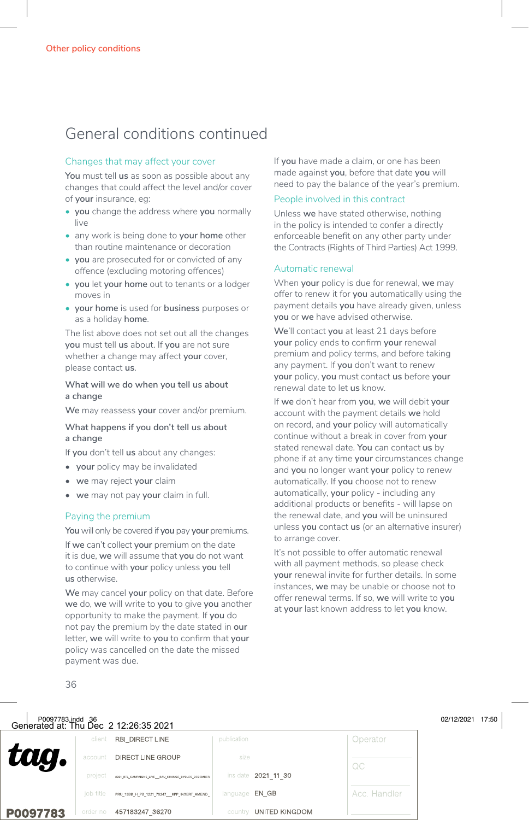### General conditions continued

#### Changes that may affect your cover

**You** must tell **us** as soon as possible about any changes that could affect the level and/or cover of **your** insurance, eg:

- **• you** change the address where **you** normally live
- any work is being done to **your home** other than routine maintenance or decoration
- **• you** are prosecuted for or convicted of any offence (excluding motoring offences)
- **• you** let **your home** out to tenants or a lodger moves in
- **• your home** is used for **business** purposes or as a holiday **home**.

The list above does not set out all the changes **you** must tell **us** about. If **you** are not sure whether a change may affect **your** cover, please contact **us**.

#### **What will we do when you tell us about a change**

**We** may reassess **your** cover and/or premium.

#### **What happens if you don't tell us about a change**

If **you** don't tell **us** about any changes:

- **your** policy may be invalidated
- **we** may reject **your** claim
- **we** may not pay **your** claim in full.

#### Paying the premium

**You** will only be covered if **you** pay **your** premiums.

If **we** can't collect **your** premium on the date it is due, **we** will assume that **you** do not want to continue with **your** policy unless **you** tell **us** otherwise.

**We** may cancel **your** policy on that date. Before **we** do, **we** will write to **you** to give **you** another opportunity to make the payment. If **you** do not pay the premium by the date stated in **our** letter, **we** will write to **you** to confirm that **your** policy was cancelled on the date the missed payment was due.

If **you** have made a claim, or one has been made against **you**, before that date **you** will need to pay the balance of the year's premium.

#### People involved in this contract

Unless **we** have stated otherwise, nothing in the policy is intended to confer a directly enforceable benefit on any other party under the Contracts (Rights of Third Parties) Act 1999.

#### Automatic renewal

When **your** policy is due for renewal, **we** may offer to renew it for **you** automatically using the payment details **you** have already given, unless **you** or **we** have advised otherwise.

**We**'ll contact **you** at least 21 days before **your** policy ends to confirm **your** renewal premium and policy terms, and before taking any payment. If **you** don't want to renew **your** policy, **you** must contact **us** before **your** renewal date to let **us** know.

If **we** don't hear from **you**, **we** will debit **your** account with the payment details **we** hold on record, and **your** policy will automatically continue without a break in cover from **your** stated renewal date. **You** can contact **us** by phone if at any time **your** circumstances change and **you** no longer want **your** policy to renew automatically. If **you** choose not to renew automatically, **your** policy - including any additional products or benefits - will lapse on the renewal date, and **you** will be uninsured unless **you** contact **us** (or an alternative insurer) to arrange cover.

It's not possible to offer automatic renewal with all payment methods, so please check **your** renewal invite for further details. In some instances, **we** may be unable or choose not to offer renewal terms. If so, **we** will write to **you** at **your** last known address to let **you** know.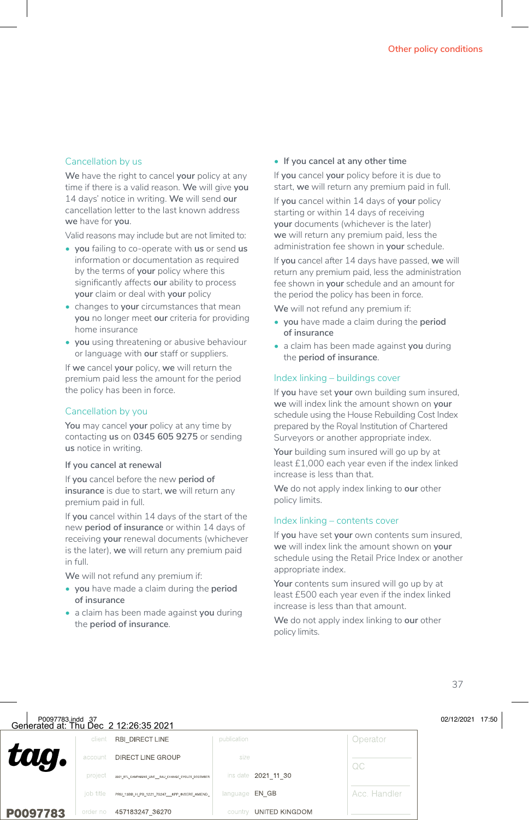#### Cancellation by us

**We** have the right to cancel **your** policy at any time if there is a valid reason. **We** will give **you** 14 days' notice in writing. **We** will send **our** cancellation letter to the last known address **we** have for **you**.

Valid reasons may include but are not limited to:

- **• you** failing to co-operate with **us** or send **us** information or documentation as required by the terms of **your** policy where this significantly affects **our** ability to process **your** claim or deal with **your** policy
- changes to **your** circumstances that mean **you** no longer meet **our** criteria for providing home insurance
- **• you** using threatening or abusive behaviour or language with **our** staff or suppliers.

If **we** cancel **your** policy, **we** will return the premium paid less the amount for the period the policy has been in force.

#### Cancellation by you

**You** may cancel **your** policy at any time by contacting **us** on **0345 605 9275** or sending **us** notice in writing.

#### **If you cancel at renewal**

If **you** cancel before the new **period of insurance** is due to start, **we** will return any premium paid in full.

If **you** cancel within 14 days of the start of the new **period of insurance** or within 14 days of receiving **your** renewal documents (whichever is the later), **we** will return any premium paid in full.

**We** will not refund any premium if:

- **• you** have made a claim during the **period of insurance**
- a claim has been made against **you** during the **period of insurance**.

#### **• If you cancel at any other time**

If **you** cancel **your** policy before it is due to start, **we** will return any premium paid in full.

If **you** cancel within 14 days of **your** policy starting or within 14 days of receiving **your** documents (whichever is the later) **we** will return any premium paid, less the administration fee shown in **your** schedule.

If **you** cancel after 14 days have passed, **we** will return any premium paid, less the administration fee shown in **your** schedule and an amount for the period the policy has been in force.

**We** will not refund any premium if:

- **• you** have made a claim during the **period of insurance**
- a claim has been made against **you** during the **period of insurance**.

#### Index linking – buildings cover

If **you** have set **your** own building sum insured, **we** will index link the amount shown on **your** schedule using the House Rebuilding Cost Index prepared by the Royal Institution of Chartered Surveyors or another appropriate index.

Your building sum insured will go up by at least £1,000 each year even if the index linked increase is less than that.

**We** do not apply index linking to **our** other policy limits.

#### Index linking – contents cover

If **you** have set **your** own contents sum insured, **we** will index link the amount shown on **your** schedule using the Retail Price Index or another appropriate index.

Your contents sum insured will go up by at least £500 each year even if the index linked increase is less than that amount.

**We** do not apply index linking to **our** other policy limits.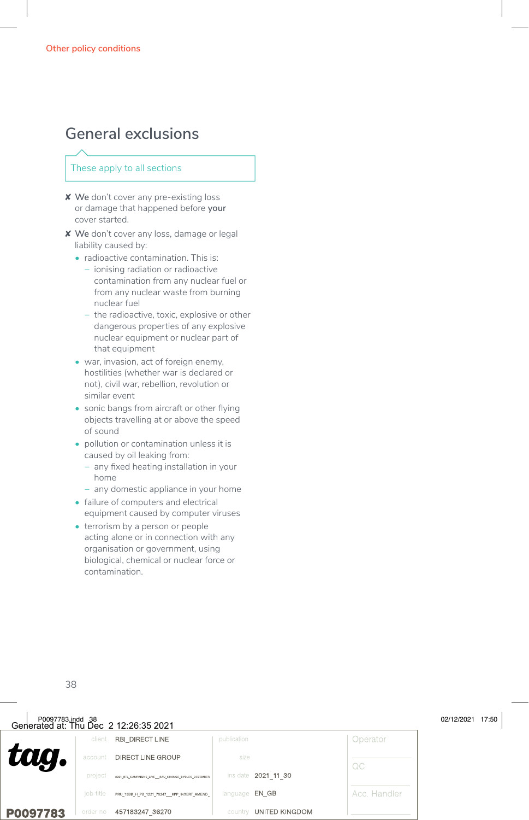### **General exclusions**

#### These apply to all sections

- ✘ **We** don't cover any pre-existing loss or damage that happened before **your** cover started.
- ✘ **We** don't cover any loss, damage or legal liability caused by:
	- radioactive contamination. This is:
		- − ionising radiation or radioactive contamination from any nuclear fuel or from any nuclear waste from burning nuclear fuel
		- − the radioactive, toxic, explosive or other dangerous properties of any explosive nuclear equipment or nuclear part of that equipment
	- war, invasion, act of foreign enemy, hostilities (whether war is declared or not), civil war, rebellion, revolution or similar event
	- sonic bangs from aircraft or other flying objects travelling at or above the speed of sound
	- pollution or contamination unless it is caused by oil leaking from:
		- − any fixed heating installation in your home
		- − any domestic appliance in your home
	- failure of computers and electrical equipment caused by computer viruses
	- terrorism by a person or people acting alone or in connection with any organisation or government, using biological, chemical or nuclear force or contamination.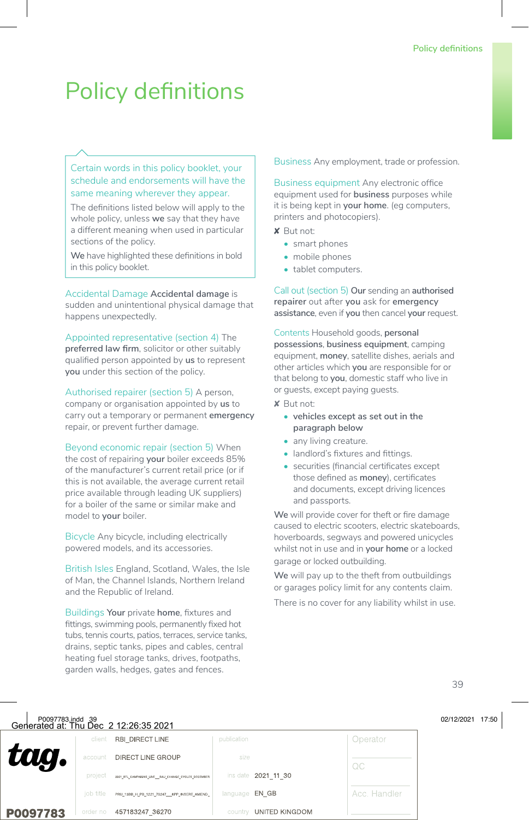# Policy definitions

#### Certain words in this policy booklet, your schedule and endorsements will have the same meaning wherever they appear.

The definitions listed below will apply to the whole policy, unless **we** say that they have a different meaning when used in particular sections of the policy.

**We** have highlighted these definitions in bold in this policy booklet.

Accidental Damage **Accidental damage** is sudden and unintentional physical damage that happens unexpectedly.

Appointed representative (section 4) The **preferred law firm**, solicitor or other suitably qualified person appointed by **us** to represent **you** under this section of the policy.

Authorised repairer (section 5) A person, company or organisation appointed by **us** to carry out a temporary or permanent **emergency** repair, or prevent further damage.

Beyond economic repair (section 5) When the cost of repairing **your** boiler exceeds 85% of the manufacturer's current retail price (or if this is not available, the average current retail price available through leading UK suppliers) for a boiler of the same or similar make and model to **your** boiler.

Bicycle Any bicycle, including electrically powered models, and its accessories.

British Isles England, Scotland, Wales, the Isle of Man, the Channel Islands, Northern Ireland and the Republic of Ireland.

Buildings **Your** private **home**, fixtures and fittings, swimming pools, permanently fixed hot tubs, tennis courts, patios, terraces, service tanks, drains, septic tanks, pipes and cables, central heating fuel storage tanks, drives, footpaths, garden walls, hedges, gates and fences.

Business Any employment, trade or profession.

Business equipment Any electronic office equipment used for **business** purposes while it is being kept in **your home**. (eg computers, printers and photocopiers).

✘ But not:

- smart phones
- mobile phones
- tablet computers.

Call out (section 5) **Our** sending an **authorised repairer** out after **you** ask for **emergency assistance**, even if **you** then cancel **your** request.

Contents Household goods, **personal possessions**, **business equipment**, camping equipment, **money**, satellite dishes, aerials and other articles which **you** are responsible for or that belong to **you**, domestic staff who live in or guests, except paying guests.

- ✘ But not:
	- **• vehicles except as set out in the paragraph below**
	- any living creature.
	- landlord's fixtures and fittings.
	- securities (financial certificates except those defined as **money**), certificates and documents, except driving licences and passports.

**We** will provide cover for theft or fire damage caused to electric scooters, electric skateboards, hoverboards, segways and powered unicycles whilst not in use and in **your home** or a locked garage or locked outbuilding.

**We** will pay up to the theft from outbuildings or garages policy limit for any contents claim.

There is no cover for any liability whilst in use.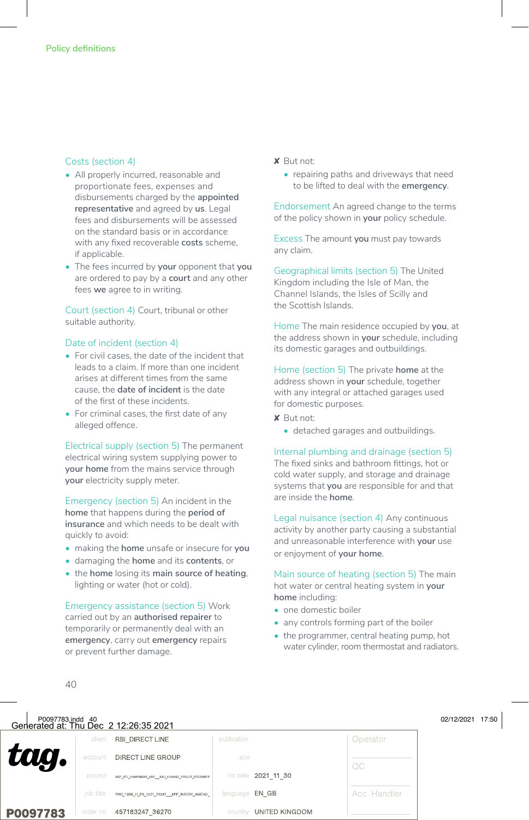#### Costs (section 4)

- All properly incurred, reasonable and proportionate fees, expenses and disbursements charged by the **appointed representative** and agreed by **us**. Legal fees and disbursements will be assessed on the standard basis or in accordance with any fixed recoverable **costs** scheme, if applicable.
- The fees incurred by **your** opponent that **you** are ordered to pay by a **court** and any other fees **we** agree to in writing.

Court (section 4) Court, tribunal or other suitable authority.

#### Date of incident (section 4)

- For civil cases, the date of the incident that leads to a claim. If more than one incident arises at different times from the same cause, the **date of incident** is the date of the first of these incidents.
- For criminal cases, the first date of any alleged offence.

Electrical supply (section 5) The permanent electrical wiring system supplying power to **your home** from the mains service through **your** electricity supply meter.

Emergency (section 5) An incident in the **home** that happens during the **period of insurance** and which needs to be dealt with quickly to avoid:

- making the **home** unsafe or insecure for **you**
- damaging the **home** and its **contents**, or
- the **home** losing its **main source of heating**, lighting or water (hot or cold).

Emergency assistance (section 5) Work carried out by an **authorised repairer** to temporarily or permanently deal with an **emergency**, carry out **emergency** repairs or prevent further damage.

#### ✘ But not:

• repairing paths and driveways that need to be lifted to deal with the **emergency**.

Endorsement An agreed change to the terms of the policy shown in **your** policy schedule.

Excess The amount **you** must pay towards any claim.

Geographical limits (section 5) The United Kingdom including the Isle of Man, the Channel Islands, the Isles of Scilly and the Scottish Islands.

Home The main residence occupied by **you**, at the address shown in **your** schedule, including its domestic garages and outbuildings.

Home (section 5) The private **home** at the address shown in **your** schedule, together with any integral or attached garages used for domestic purposes.

- ✘ But not:
	- detached garages and outbuildings.

Internal plumbing and drainage (section 5) The fixed sinks and bathroom fittings, hot or cold water supply, and storage and drainage systems that **you** are responsible for and that are inside the **home**.

Legal nuisance (section 4) Any continuous activity by another party causing a substantial and unreasonable interference with **your** use or enjoyment of **your home**.

Main source of heating (section 5) The main hot water or central heating system in **your home** including:

- one domestic boiler
- any controls forming part of the boiler
- the programmer, central heating pump, hot water cylinder, room thermostat and radiators.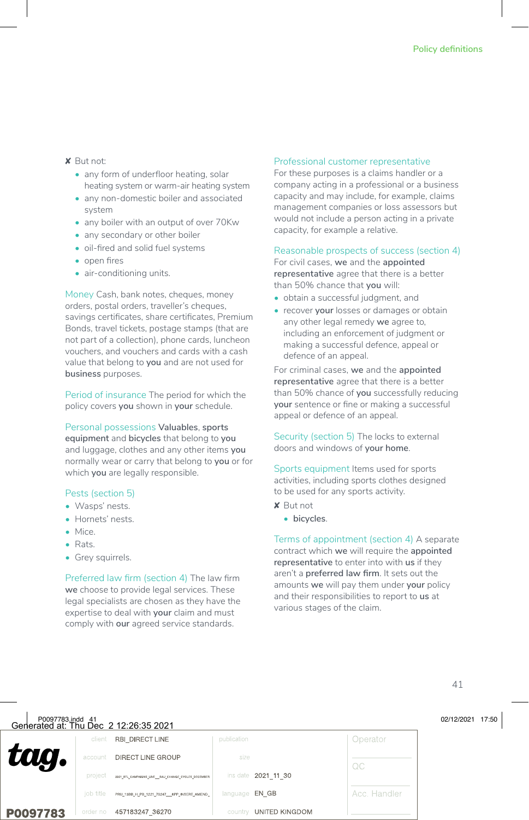#### ✘ But not:

- any form of underfloor heating, solar heating system or warm-air heating system
- any non-domestic boiler and associated system
- any boiler with an output of over 70Kw
- any secondary or other boiler
- oil-fired and solid fuel systems
- open fires
- air-conditioning units.

Money Cash, bank notes, cheques, money orders, postal orders, traveller's cheques, savings certificates, share certificates, Premium Bonds, travel tickets, postage stamps (that are not part of a collection), phone cards, luncheon vouchers, and vouchers and cards with a cash value that belong to **you** and are not used for **business** purposes.

Period of insurance The period for which the policy covers **you** shown in **your** schedule.

Personal possessions **Valuables**, **sports equipment** and **bicycles** that belong to **you** and luggage, clothes and any other items **you** normally wear or carry that belong to **you** or for which **you** are legally responsible.

#### Pests (section 5)

- Wasps' nests.
- Hornets' nests.
- Mice.
- Rats.
- **•** Grey squirrels.

Preferred law firm (section 4) The law firm **we** choose to provide legal services. These legal specialists are chosen as they have the expertise to deal with **your** claim and must comply with **our** agreed service standards.

#### Professional customer representative

For these purposes is a claims handler or a company acting in a professional or a business capacity and may include, for example, claims management companies or loss assessors but would not include a person acting in a private capacity, for example a relative.

#### Reasonable prospects of success (section 4)

For civil cases, **we** and the **appointed representative** agree that there is a better than 50% chance that **you** will:

- obtain a successful judgment, and
- recover **your** losses or damages or obtain any other legal remedy **we** agree to, including an enforcement of judgment or making a successful defence, appeal or defence of an appeal.

For criminal cases, **we** and the **appointed representative** agree that there is a better than 50% chance of **you** successfully reducing **your** sentence or fine or making a successful appeal or defence of an appeal.

Security (section 5) The locks to external doors and windows of **your home**.

Sports equipment Items used for sports activities, including sports clothes designed to be used for any sports activity.

- ✘ But not
	- **• bicycles**.

Terms of appointment (section 4) A separate contract which **we** will require the **appointed representative** to enter into with **us** if they aren't a **preferred law firm**. It sets out the amounts **we** will pay them under **your** policy and their responsibilities to report to **us** at various stages of the claim.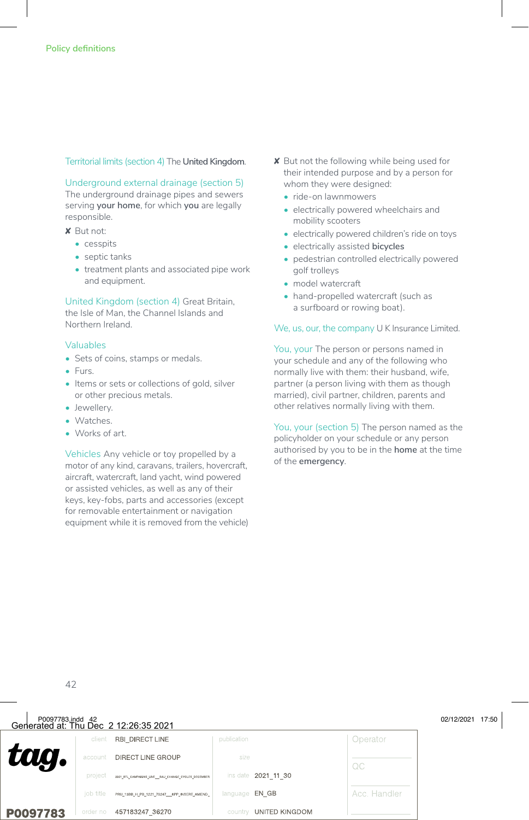#### Territorial limits (section 4) The **United Kingdom**.

Underground external drainage (section 5) The underground drainage pipes and sewers serving **your home**, for which **you** are legally responsible.

✘ But not:

- cesspits
- septic tanks
- treatment plants and associated pipe work and equipment.

United Kingdom (section 4) Great Britain, the Isle of Man, the Channel Islands and Northern Ireland.

#### Valuables

- Sets of coins, stamps or medals.
- Furs.
- Items or sets or collections of gold, silver or other precious metals.
- Jewellery.
- Watches.
- Works of art.

Vehicles Any vehicle or toy propelled by a motor of any kind, caravans, trailers, hovercraft, aircraft, watercraft, land yacht, wind powered or assisted vehicles, as well as any of their keys, key-fobs, parts and accessories (except for removable entertainment or navigation equipment while it is removed from the vehicle)

- ✘ But not the following while being used for their intended purpose and by a person for whom they were designed:
	- ride-on lawnmowers
	- electrically powered wheelchairs and mobility scooters
	- electrically powered children's ride on toys
	- electrically assisted **bicycles**
	- pedestrian controlled electrically powered golf trolleys
	- model watercraft
	- hand-propelled watercraft (such as a surfboard or rowing boat).

#### We, us, our, the company U K Insurance Limited.

You, your The person or persons named in your schedule and any of the following who normally live with them: their husband, wife, partner (a person living with them as though married), civil partner, children, parents and other relatives normally living with them.

You, your (section 5) The person named as the policyholder on your schedule or any person authorised by you to be in the **home** at the time of the **emergency**.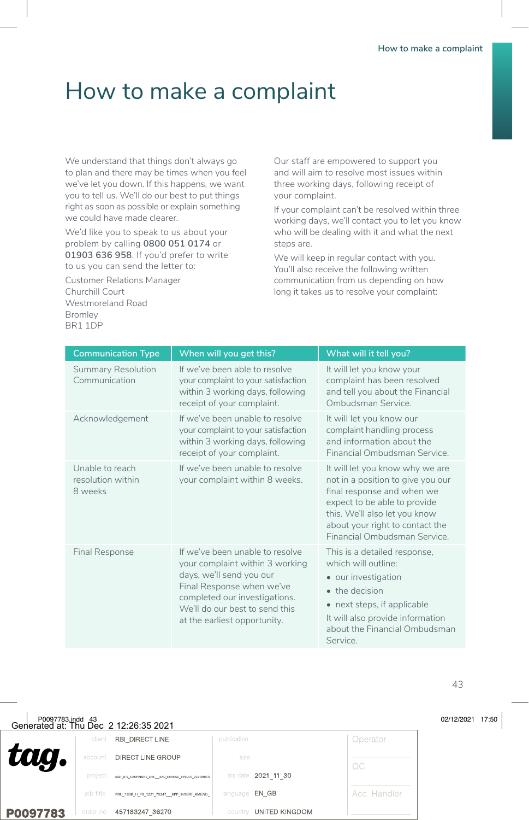# How to make a complaint

We understand that things don't always go to plan and there may be times when you feel we've let you down. If this happens, we want you to tell us. We'll do our best to put things right as soon as possible or explain something we could have made clearer.

We'd like you to speak to us about your problem by calling **0800 051 0174** or **01903 636 958**. If you'd prefer to write to us you can send the letter to:

Customer Relations Manager Churchill Court Westmoreland Road Bromley BR1 1DP

Our staff are empowered to support you and will aim to resolve most issues within three working days, following receipt of your complaint.

If your complaint can't be resolved within three working days, we'll contact you to let you know who will be dealing with it and what the next steps are.

We will keep in regular contact with you. You'll also receive the following written communication from us depending on how long it takes us to resolve your complaint:

| <b>Communication Type</b>                       | When will you get this?                                                                                                                                                                                                        | What will it tell you?                                                                                                                                                                                                                 |
|-------------------------------------------------|--------------------------------------------------------------------------------------------------------------------------------------------------------------------------------------------------------------------------------|----------------------------------------------------------------------------------------------------------------------------------------------------------------------------------------------------------------------------------------|
| <b>Summary Resolution</b><br>Communication      | If we've been able to resolve<br>your complaint to your satisfaction<br>within 3 working days, following<br>receipt of your complaint.                                                                                         | It will let you know your<br>complaint has been resolved<br>and tell you about the Financial<br>Ombudsman Service.                                                                                                                     |
| Acknowledgement                                 | If we've been unable to resolve<br>your complaint to your satisfaction<br>within 3 working days, following<br>receipt of your complaint.                                                                                       | It will let you know our<br>complaint handling process<br>and information about the<br>Financial Ombudsman Service.                                                                                                                    |
| Unable to reach<br>resolution within<br>8 weeks | If we've been unable to resolve<br>your complaint within 8 weeks.                                                                                                                                                              | It will let you know why we are<br>not in a position to give you our<br>final response and when we<br>expect to be able to provide<br>this. We'll also let you know<br>about your right to contact the<br>Financial Ombudsman Service. |
| <b>Final Response</b>                           | If we've been unable to resolve<br>your complaint within 3 working<br>days, we'll send you our<br>Final Response when we've<br>completed our investigations.<br>We'll do our best to send this<br>at the earliest opportunity. | This is a detailed response,<br>which will outline:<br>• our investigation<br>• the decision<br>• next steps, if applicable<br>It will also provide information<br>about the Financial Ombudsman<br>Service.                           |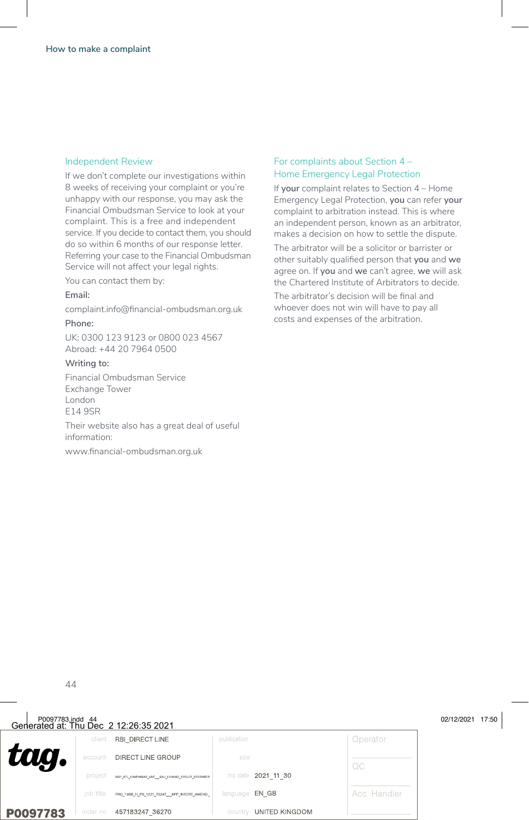#### Independent Review

If we don't complete our investigations within 8 weeks of receiving your complaint or you're unhappy with our response, you may ask the Financial Ombudsman Service to look at your complaint. This is a free and independent service. If you decide to contact them, you should do so within 6 months of our response letter. Referring your case to the Financial Ombudsman Service will not affect your legal rights.

You can contact them by:

#### **Email:**

complaint.info@financial-ombudsman.org.uk

#### **Phone:**

UK: 0300 123 9123 or 0800 023 4567 Abroad: +44 20 7964 0500

#### **Writing to:**

Financial Ombudsman Service Exchange Tower London  $F149SP$ 

Their website also has a great deal of useful information:

www.financial-ombudsman.org.uk

#### For complaints about Section 4 – Home Emergency Legal Protection

If **your** complaint relates to Section 4 – Home Emergency Legal Protection, **you** can refer **your** complaint to arbitration instead. This is where an independent person, known as an arbitrator, makes a decision on how to settle the dispute.

The arbitrator will be a solicitor or barrister or other suitably qualified person that **you** and **we** agree on. If **you** and **we** can't agree, **we** will ask the Chartered Institute of Arbitrators to decide.

The arbitrator's decision will be final and whoever does not win will have to pay all costs and expenses of the arbitration.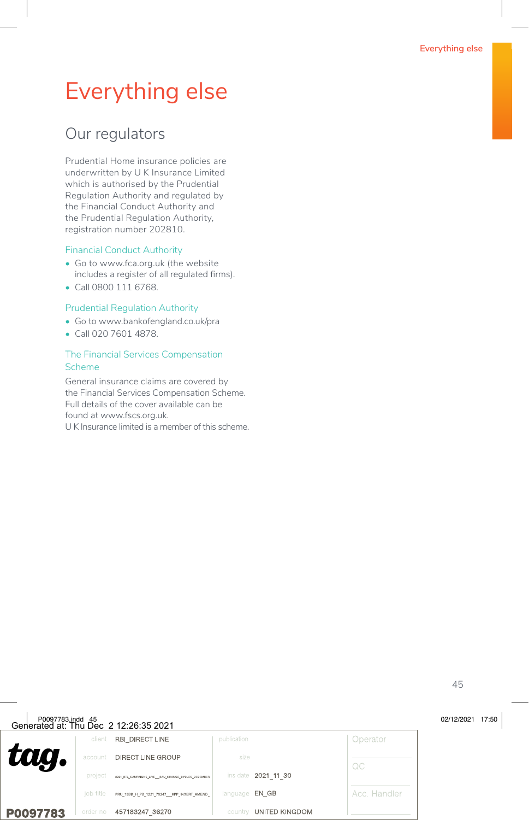# Everything else

### Our regulators

Prudential Home insurance policies are underwritten by U K Insurance Limited which is authorised by the Prudential Regulation Authority and regulated by the Financial Conduct Authority and the Prudential Regulation Authority, registration number 202810.

#### Financial Conduct Authority

- Go to www.fca.org.uk (the website includes a register of all regulated firms).
- Call 0800 111 6768.

#### Prudential Regulation Authority

- Go to www.bankofengland.co.uk/pra
- Call 020 7601 4878.

#### The Financial Services Compensation Scheme

General insurance claims are covered by the Financial Services Compensation Scheme. Full details of the cover available can be found at www.fscs.org.uk. U K Insurance limited is a member of this scheme.